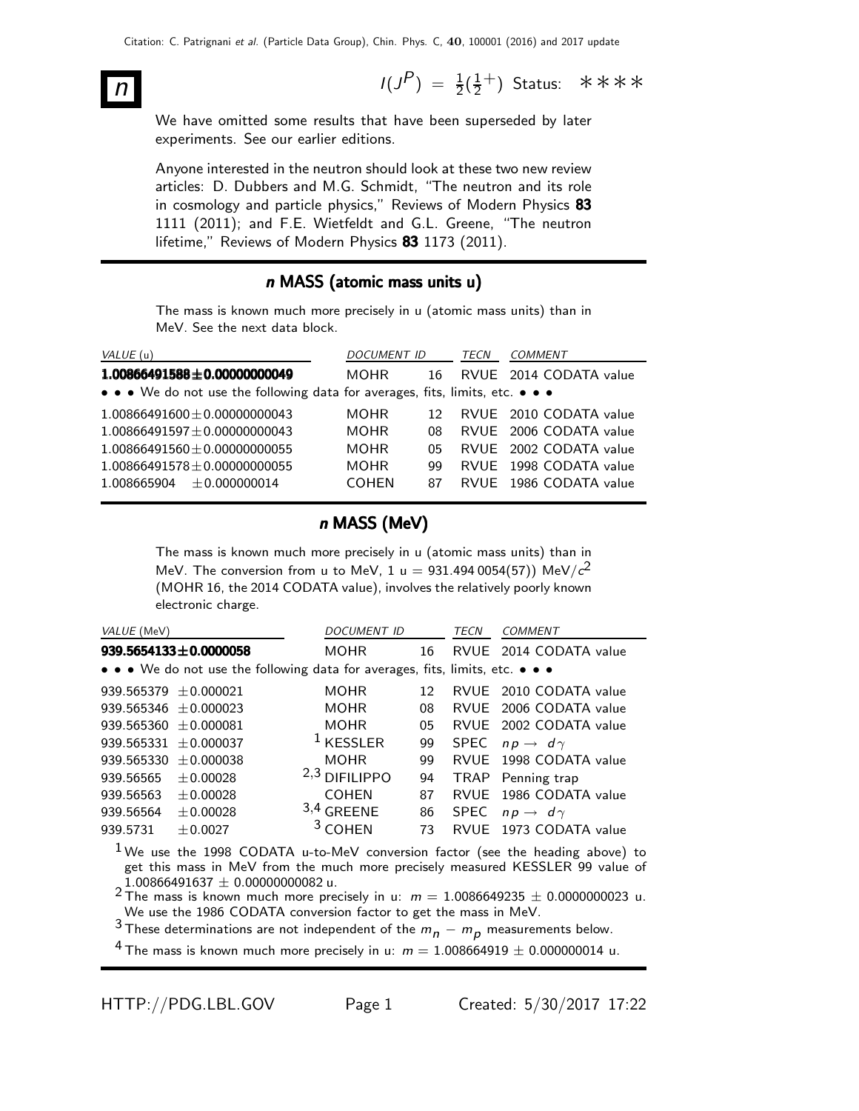$n$  I(J  $P$ ) =  $\frac{1}{2}(\frac{1}{2})$  $\frac{1}{2}^+$ ) Status: \*\*\*\*

We have omitted some results that have been superseded by later experiments. See our earlier editions.

Anyone interested in the neutron should look at these two new review articles: D. Dubbers and M.G. Schmidt, "The neutron and its role in cosmology and particle physics," Reviews of Modern Physics 83 1111 (2011); and F.E. Wietfeldt and G.L. Greene, "The neutron lifetime," Reviews of Modern Physics 83 1173 (2011).

### n MASS (atomic mass units u)

The mass is known much more precisely in u (atomic mass units) than in MeV. See the next data block.

| VALUE (u)                                                                     | DOCUMENT ID  | TECN            |  | <b>COMMENT</b>         |
|-------------------------------------------------------------------------------|--------------|-----------------|--|------------------------|
| $1.00866491588 \pm 0.00000000049$                                             | <b>MOHR</b>  | 16              |  | RVUE 2014 CODATA value |
| • • • We do not use the following data for averages, fits, limits, etc. • • • |              |                 |  |                        |
| $1.00866491600 \pm 0.00000000043$                                             | <b>MOHR</b>  | 12 <sub>1</sub> |  | RVUE 2010 CODATA value |
| $1.00866491597 \pm 0.00000000043$                                             | <b>MOHR</b>  | 08.             |  | RVUE 2006 CODATA value |
| $1.00866491560 + 0.00000000055$                                               | <b>MOHR</b>  | 05              |  | RVUE 2002 CODATA value |
| $1.00866491578 \pm 0.00000000055$                                             | <b>MOHR</b>  | qq              |  | RVUE 1998 CODATA value |
| $1.008665904 \pm 0.000000014$                                                 | <b>COHEN</b> | 87              |  | RVUE 1986 CODATA value |

### n MASS (MeV)

The mass is known much more precisely in u (atomic mass units) than in MeV. The conversion from u to MeV, 1 u  $= 931.494\,0054(57))$  MeV/ $c^{2}$ (MOHR 16, the 2014 CODATA value), involves the relatively poorly known electronic charge.

| VALUE (MeV)               |                                                                               | <b>DOCUMENT ID</b> |                 | <b>TECN</b> | <b>COMMENT</b>                |  |  |  |
|---------------------------|-------------------------------------------------------------------------------|--------------------|-----------------|-------------|-------------------------------|--|--|--|
|                           | $939.5654133 \pm 0.0000058$                                                   | <b>MOHR</b>        | 16              |             | RVUE 2014 CODATA value        |  |  |  |
|                           | • • • We do not use the following data for averages, fits, limits, etc. • • • |                    |                 |             |                               |  |  |  |
| 939.565379 $\pm$ 0.000021 |                                                                               | <b>MOHR</b>        | 12 <sup>°</sup> |             | RVUE 2010 CODATA value        |  |  |  |
| 939.565346 $\pm$ 0.000023 |                                                                               | <b>MOHR</b>        | 08              |             | RVUE 2006 CODATA value        |  |  |  |
| 939.565360 $\pm$ 0.000081 |                                                                               | <b>MOHR</b>        | 05              |             | RVUE 2002 CODATA value        |  |  |  |
| 939.565331 $\pm$ 0.000037 |                                                                               | $1$ KESSLER        | 99              |             | SPEC $np \rightarrow d\gamma$ |  |  |  |
| 939.565330                | ±0.000038                                                                     | <b>MOHR</b>        | 99              |             | RVUE 1998 CODATA value        |  |  |  |
| 939.56565                 | ± 0.00028                                                                     | $2,3$ DIFILIPPO    | 94              |             | TRAP Penning trap             |  |  |  |
| 939.56563                 | ± 0.00028                                                                     | <b>COHEN</b>       | 87              | RVUE        | 1986 CODATA value             |  |  |  |
| 939.56564                 | $+0.00028$                                                                    | $3,4$ GREENE       | 86              |             | SPEC $np \rightarrow d\gamma$ |  |  |  |
| 939.5731                  | $+0.0027$                                                                     | $3$ COHEN          | 73              | RVUF        | 1973 CODATA value             |  |  |  |

 $1$ We use the 1998 CODATA u-to-MeV conversion factor (see the heading above) to get this mass in MeV from the much more precisely measured KESSLER 99 value of

 $1.00866491637 \pm 0.00000000082$  u.<br> $^2$ The mass is known much more precisely in u:  $m = 1.0086649235 \pm 0.0000000023$  u. We use the 1986 CODATA conversion factor to get the mass in MeV.

3 These determinations are not independent of the  $m_n - m_p$  measurements below.

<sup>4</sup> The mass is known much more precisely in u:  $m = 1.008664919 \pm 0.000000014$  u.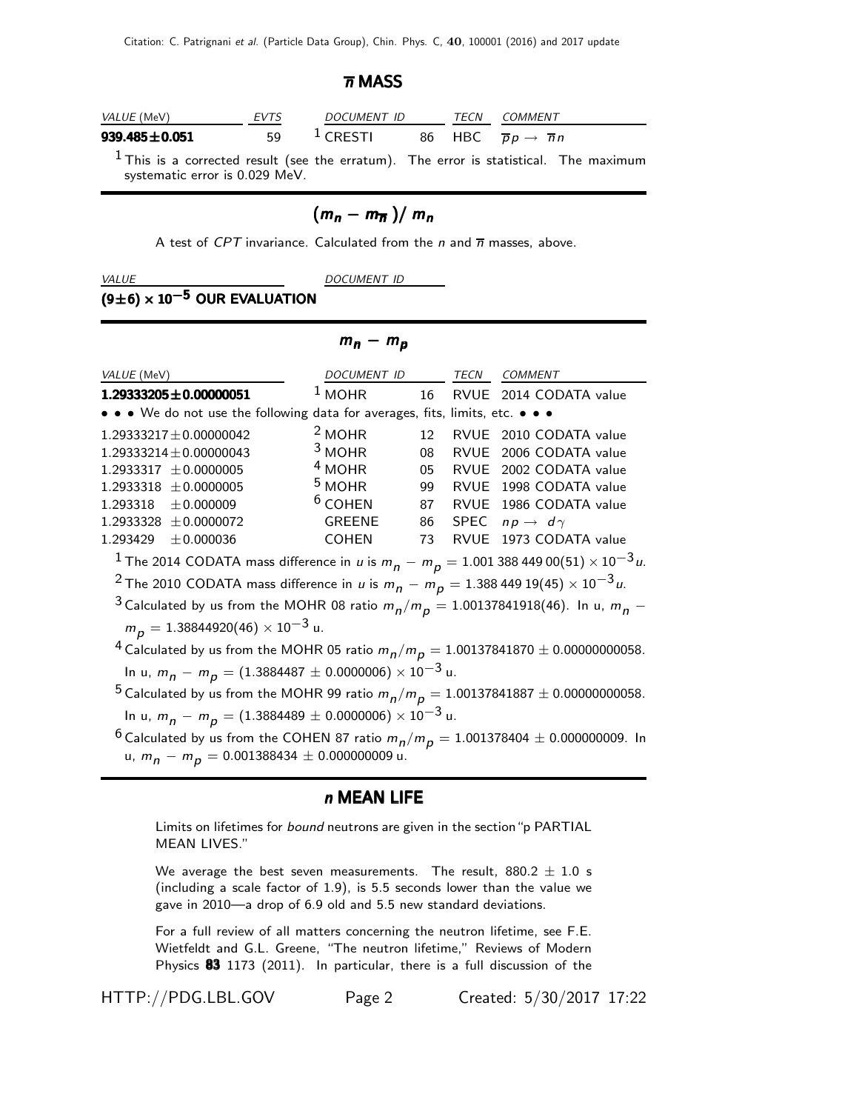### $\overline{n}$  MASS

| <i>VALUE</i> (MeV)  | <b>EVTS</b> | <i>DOCUMENT ID</i>  | TFCN | COMMENT                                          |
|---------------------|-------------|---------------------|------|--------------------------------------------------|
| $939.485 \pm 0.051$ | 59          | <sup>1</sup> CRESTI |      | 86 HBC $\overline{p}p \rightarrow \overline{n}n$ |
|                     |             |                     |      |                                                  |

 $<sup>1</sup>$  This is a corrected result (see the erratum). The error is statistical. The maximum</sup> systematic error is 0.029 MeV.

# $(m_n - m_{\overline{n}})/m_n$

A test of CPT invariance. Calculated from the  $n$  and  $\overline{n}$  masses, above.

VALUE DOCUMENT ID

### $(9±6) \times 10^{-5}$  OUR EVALUATION

 $m_n - m_p$ 

| VALUE (MeV)                                                                                                                                           | DOCUMENT ID   |    | TECN        | <b>COMMENT</b>           |  |
|-------------------------------------------------------------------------------------------------------------------------------------------------------|---------------|----|-------------|--------------------------|--|
| $1.29333205 \pm 0.00000051$                                                                                                                           | $1$ MOHR      | 16 |             | RVUE 2014 CODATA value   |  |
| • • • We do not use the following data for averages, fits, limits, etc. • • •                                                                         |               |    |             |                          |  |
| $1.29333217 \pm 0.00000042$                                                                                                                           | $2$ MOHR      | 12 |             | RVUE 2010 CODATA value   |  |
| $1.29333214 \pm 0.00000043$                                                                                                                           | $3$ MOHR      | 08 | RVUE        | 2006 CODATA value        |  |
| $1.2933317 \pm 0.0000005$                                                                                                                             | $4$ MOHR      | 05 |             | RVUE 2002 CODATA value   |  |
| $1.2933318 \pm 0.0000005$                                                                                                                             | $5$ MOHR      | 99 |             | RVUE 1998 CODATA value   |  |
| $1.293318 \pm 0.000009$                                                                                                                               | $6$ COHEN     | 87 | RVUE        | 1986 CODATA value        |  |
| $1.2933328 \pm 0.0000072$                                                                                                                             | <b>GREENE</b> | 86 | <b>SPEC</b> | $np \rightarrow d\gamma$ |  |
| 1.293429<br>± 0.000036                                                                                                                                | <b>COHEN</b>  | 73 | <b>RVUF</b> | 1973 CODATA value        |  |
| <sup>1</sup> The 2014 CODATA mass difference in <i>u</i> is $m_p - m_p = 1.001$ 388 449 00(51) $\times$ 10 <sup>-3</sup> <i>u</i> .                   |               |    |             |                          |  |
| <sup>2</sup> The 2010 CODATA mass difference in u is $m_p - m_p = 1.38844919(45) \times 10^{-3} u$ .                                                  |               |    |             |                          |  |
| <sup>3</sup> Calculated by us from the MOHR 08 ratio $m_p/m_p = 1.00137841918(46)$ . In u, $m_p$ –                                                    |               |    |             |                          |  |
| $m_p = 1.38844920(46) \times 10^{-3}$ u.                                                                                                              |               |    |             |                          |  |
| <sup>4</sup> Calculated by us from the MOHR 05 ratio $m_p/m_p = 1.00137841870 \pm 0.00000000058$ .                                                    |               |    |             |                          |  |
| In u, $m_p - m_p = (1.3884487 \pm 0.0000006) \times 10^{-3}$ u.                                                                                       |               |    |             |                          |  |
| <sup>5</sup> Calculated by us from the MOHR 99 ratio $m_p/m_p = 1.00137841887 \pm 0.00000000058$ .                                                    |               |    |             |                          |  |
| In u, $m_p - m_p = (1.3884489 \pm 0.0000006) \times 10^{-3}$ u.                                                                                       |               |    |             |                          |  |
| <sup>6</sup> Calculated by us from the COHEN 87 ratio $m_p/m_p = 1.001378404 \pm 0.000000009$ . In<br>u, $m_n - m_D = 0.001388434 \pm 0.000000009$ u. |               |    |             |                          |  |

### n MEAN LIFE

Limits on lifetimes for *bound* neutrons are given in the section "p PARTIAL MEAN LIVES."

We average the best seven measurements. The result,  $880.2 \pm 1.0$  s (including a scale factor of 1.9), is 5.5 seconds lower than the value we gave in 2010—a drop of 6.9 old and 5.5 new standard deviations.

For a full review of all matters concerning the neutron lifetime, see F.E. Wietfeldt and G.L. Greene, "The neutron lifetime," Reviews of Modern Physics 83 1173 (2011). In particular, there is a full discussion of the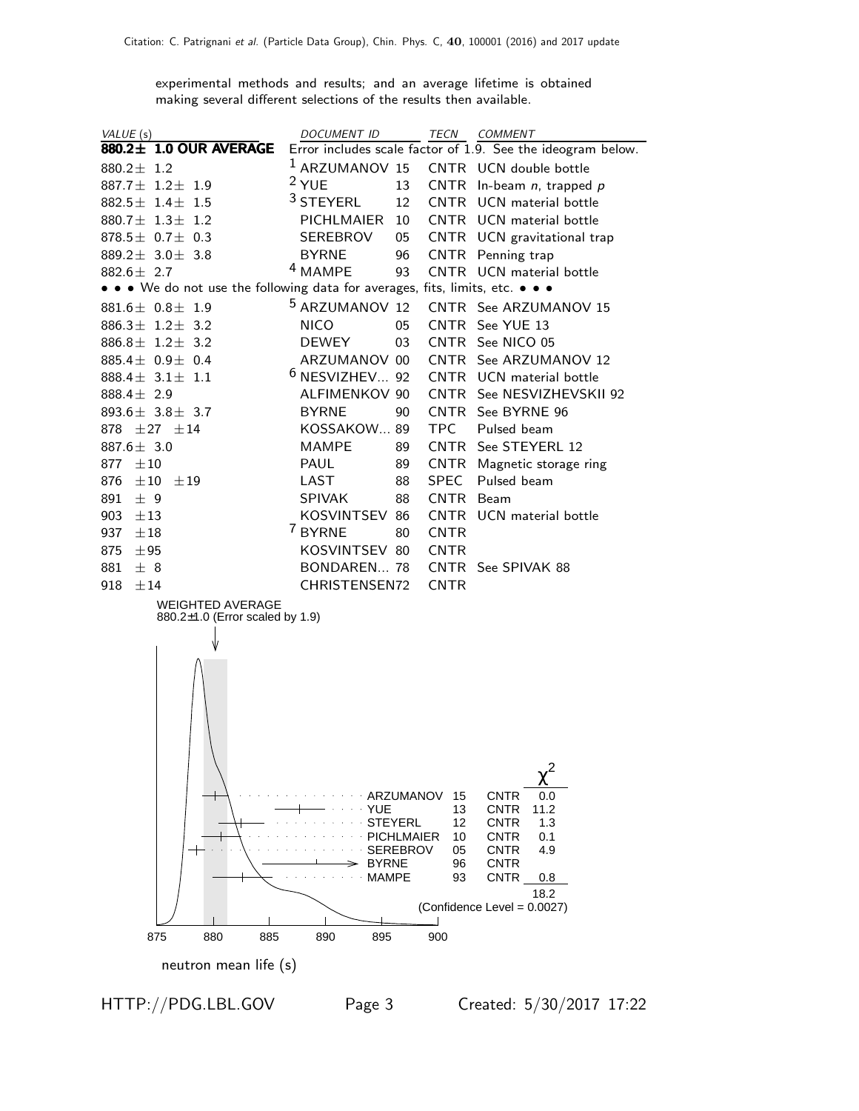experimental methods and results; and an average lifetime is obtained making several different selections of the results then available.

| VALUE (s)                                                                     | DOCUMENT ID                  |                   | TECN COMMENT                                                |
|-------------------------------------------------------------------------------|------------------------------|-------------------|-------------------------------------------------------------|
| 880.2± 1.0 OUR AVERAGE                                                        |                              |                   | Error includes scale factor of 1.9. See the ideogram below. |
| 880.2 $\pm$ 1.2                                                               |                              |                   | <sup>1</sup> ARZUMANOV 15 CNTR UCN double bottle            |
| 887.7 $\pm$ 1.2 $\pm$ 1.9                                                     | $2$ YUE                      | 13                | CNTR In-beam $n$ , trapped $p$                              |
| 882.5 $\pm$ 1.4 $\pm$ 1.5                                                     | <sup>3</sup> STEYERL         | 12                | CNTR UCN material bottle                                    |
| 880.7 $\pm$ 1.3 $\pm$ 1.2                                                     | PICHLMAIER                   | 10                | CNTR UCN material bottle                                    |
| 878.5 $\pm$ 0.7 $\pm$ 0.3                                                     | SEREBROV                     | 05                | CNTR UCN gravitational trap                                 |
| 889.2 $\pm$ 3.0 $\pm$ 3.8                                                     | <b>BYRNE</b>                 | 96                | CNTR Penning trap                                           |
| $882.6 \pm 2.7$                                                               | <sup>4</sup> MAMPE           | 93                | CNTR UCN material bottle                                    |
| • • • We do not use the following data for averages, fits, limits, etc. • • • |                              |                   |                                                             |
| $881.6 \pm 0.8 \pm 1.9$                                                       | <sup>5</sup> ARZUMANOV 12    |                   | CNTR See ARZUMANOV 15                                       |
| 886.3 $\pm$ 1.2 $\pm$ 3.2                                                     | <b>NICO</b>                  | 05                | CNTR See YUE 13                                             |
| 886.8 $\pm$ 1.2 $\pm$ 3.2                                                     | <b>DEWEY</b>                 | 03                | CNTR See NICO 05                                            |
| 885.4 $\pm$ 0.9 $\pm$ 0.4                                                     | ARZUMANOV 00                 |                   | CNTR See ARZUMANOV 12                                       |
| 888.4 $\pm$ 3.1 $\pm$ 1.1                                                     | $6$ NESVIZHEV 92             |                   | CNTR UCN material bottle                                    |
| 888.4 $\pm$ 2.9                                                               | ALFIMENKOV 90                |                   | CNTR See NESVIZHEVSKII 92                                   |
| 893.6 $\pm$ 3.8 $\pm$ 3.7                                                     | <b>BYRNE</b>                 | 90                | CNTR See BYRNE 96                                           |
| 878 $\pm 27$ $\pm 14$                                                         | KOSSAKOW 89                  | <b>TPC</b>        | Pulsed beam                                                 |
| 887.6 $\pm$ 3.0                                                               | <b>MAMPE</b>                 | 89                | CNTR See STEYERL 12                                         |
| $\pm10$<br>877                                                                | PAUL                         | CNTR<br>89        | Magnetic storage ring                                       |
| 876<br>$\pm 10$<br>±19                                                        | LAST                         | <b>SPEC</b><br>88 | Pulsed beam                                                 |
| ± 9<br>891                                                                    | <b>SPIVAK</b>                | 88<br>CNTR Beam   |                                                             |
| 903<br>±13                                                                    | KOSVINTSEV 86                |                   | CNTR UCN material bottle                                    |
| 937<br>$\pm 18$                                                               | 7 BYRNE                      | 80<br><b>CNTR</b> |                                                             |
| 875<br>±95                                                                    | KOSVINTSEV 80                | <b>CNTR</b>       |                                                             |
| 881<br>± 8                                                                    | BONDAREN 78                  |                   | CNTR See SPIVAK 88                                          |
| 918<br>±14                                                                    | CHRISTENSEN72                | <b>CNTR</b>       |                                                             |
| <b>WEIGHTED AVERAGE</b><br>880.2±1.0 (Error scaled by 1.9)                    |                              |                   |                                                             |
|                                                                               |                              |                   |                                                             |
|                                                                               |                              |                   |                                                             |
|                                                                               |                              |                   |                                                             |
|                                                                               |                              |                   |                                                             |
|                                                                               |                              |                   |                                                             |
|                                                                               |                              |                   |                                                             |
|                                                                               |                              |                   |                                                             |
|                                                                               |                              |                   |                                                             |
|                                                                               |                              |                   |                                                             |
|                                                                               |                              | ARZUMANOV<br>15   | <b>CNTR</b><br>0.0                                          |
|                                                                               | <b>YUE</b><br><b>STEYERL</b> | 13<br>12          | 11.2<br><b>CNTR</b><br>CNTR<br>1.3                          |
|                                                                               |                              | PICHLMAIER<br>10  | <b>CNTR</b><br>0.1                                          |
|                                                                               | SEREBROV                     | 05                | <b>CNTR</b><br>4.9                                          |
|                                                                               | <b>BYRNE</b><br><b>MAMPE</b> | 96<br>93          | CNTR                                                        |
|                                                                               |                              |                   | <b>CNTR</b><br>0.8<br>18.2                                  |
|                                                                               |                              |                   | (Confidence Level = 0.0027)                                 |
|                                                                               |                              |                   |                                                             |
| 885<br>875<br>880                                                             | 890<br>895                   | 900               |                                                             |
| neutron mean life (s)                                                         |                              |                   |                                                             |

HTTP://PDG.LBL.GOV Page 3 Created: 5/30/2017 17:22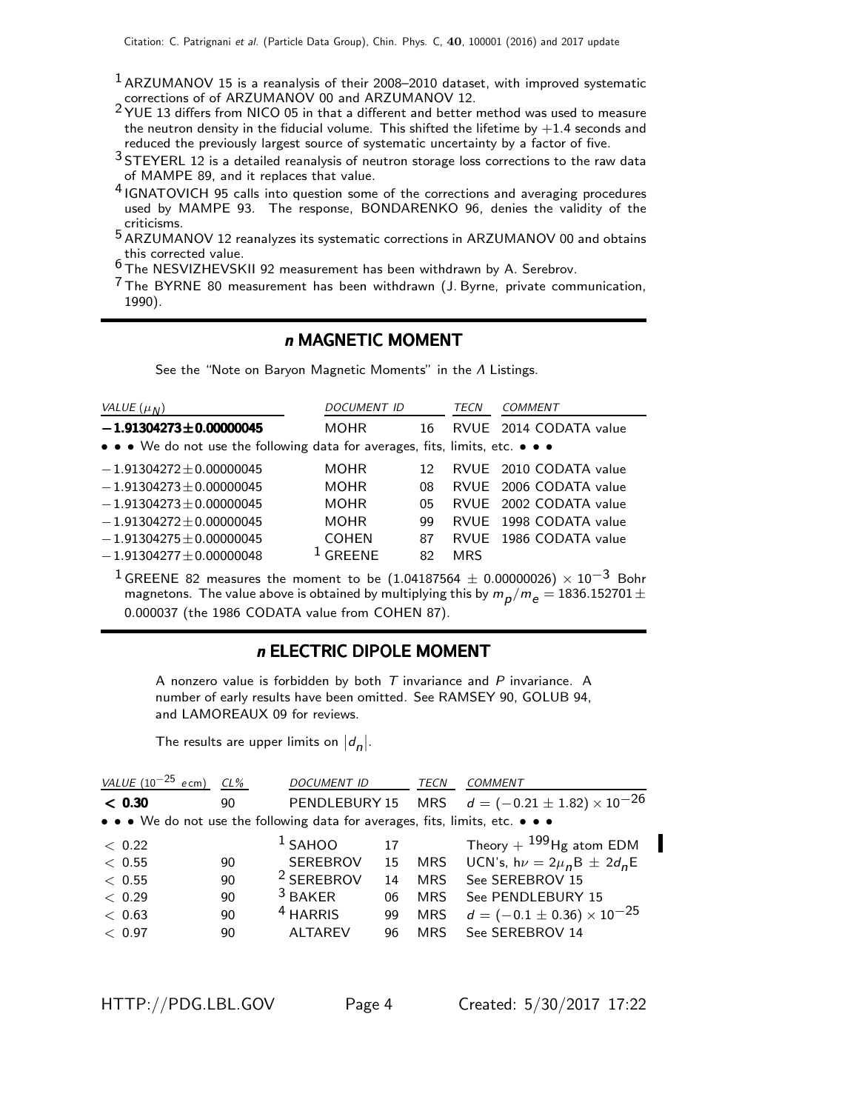- <sup>1</sup> ARZUMANOV 15 is a reanalysis of their 2008–2010 dataset, with improved systematic corrections of of ARZUMANOV 00 and ARZUMANOV 12.
- 2 YUE 13 differs from NICO 05 in that a different and better method was used to measure the neutron density in the fiducial volume. This shifted the lifetime by  $+1.4$  seconds and reduced the previously largest source of systematic uncertainty by a factor of five.
- $3$  STEYERL 12 is a detailed reanalysis of neutron storage loss corrections to the raw data of MAMPE 89, and it replaces that value.
- <sup>4</sup> IGNATOVICH 95 calls into question some of the corrections and averaging procedures used by MAMPE 93. The response, BONDARENKO 96, denies the validity of the criticisms.
- 5 ARZUMANOV 12 reanalyzes its systematic corrections in ARZUMANOV 00 and obtains this corrected value.
- 6 The NESVIZHEVSKII 92 measurement has been withdrawn by A. Serebrov.
- 7 The BYRNE 80 measurement has been withdrawn (J. Byrne, private communication, 1990).

### n MAGNETIC MOMENT

See the "Note on Baryon Magnetic Moments" in the Λ Listings.

| VALUE $(\mu_N)$                                                               | <b>DOCUMENT ID</b> |    | <b>TECN</b> | <b>COMMENT</b>         |
|-------------------------------------------------------------------------------|--------------------|----|-------------|------------------------|
| $-1.91304273 \pm 0.00000045$                                                  | <b>MOHR</b>        | 16 |             | RVUE 2014 CODATA value |
| • • • We do not use the following data for averages, fits, limits, etc. • • • |                    |    |             |                        |
| $-1.91304272 \pm 0.00000045$                                                  | <b>MOHR</b>        | 12 |             | RVUE 2010 CODATA value |
| $-1.91304273 \pm 0.00000045$                                                  | <b>MOHR</b>        | 08 |             | RVUE 2006 CODATA value |
| $-1.91304273 \pm 0.00000045$                                                  | <b>MOHR</b>        | 05 |             | RVUE 2002 CODATA value |
| $-1.91304272 \pm 0.00000045$                                                  | <b>MOHR</b>        | 99 |             | RVUE 1998 CODATA value |
| $-1.91304275 \pm 0.00000045$                                                  | <b>COHEN</b>       | 87 |             | RVUE 1986 CODATA value |
| $-1.91304277 \pm 0.00000048$                                                  | GREENE             | 82 | <b>MRS</b>  |                        |

<sup>1</sup> GREENE 82 measures the moment to be (1.04187564  $\pm$  0.00000026)  $\times$  10<sup>-3</sup> Bohr magnetons. The value above is obtained by multiplying this by  $m_{\small\rho}/m_{\small e}=$  1836.152701  $\pm$ 0.000037 (the 1986 CODATA value from COHEN 87).

### n ELECTRIC DIPOLE MOMENT

A nonzero value is forbidden by both  $T$  invariance and  $P$  invariance. A number of early results have been omitted. See RAMSEY 90, GOLUB 94, and LAMOREAUX 09 for reviews.

The results are upper limits on  $|d_n|$ .

| VALUE $(10^{-25}$ ecm) | $CL\%$ | <b>DOCUMENT ID</b>                                                            |    | TECN       | <b>COMMENT</b>                                           |
|------------------------|--------|-------------------------------------------------------------------------------|----|------------|----------------------------------------------------------|
| < 0.30                 | 90     |                                                                               |    |            | PENDLEBURY 15 MRS $d = (-0.21 \pm 1.82) \times 10^{-26}$ |
|                        |        | • • • We do not use the following data for averages, fits, limits, etc. • • • |    |            |                                                          |
| < 0.22                 |        | $1$ SAHOO                                                                     | 17 |            | Theory + $^{199}$ Hg atom EDM                            |
| < 0.55                 | 90     | <b>SEREBROV</b>                                                               | 15 | <b>MRS</b> | UCN's, $h\nu = 2\mu_B B \pm 2d_B E$                      |
| < 0.55                 | 90     | <sup>2</sup> SEREBROV                                                         | 14 | <b>MRS</b> | See SEREBROV 15                                          |
| < 0.29                 | 90     | $3$ BAKER                                                                     | 06 | <b>MRS</b> | See PENDLEBURY 15                                        |
| < 0.63                 | 90     | <sup>4</sup> HARRIS                                                           | 99 | <b>MRS</b> | $d = (-0.1 \pm 0.36) \times 10^{-25}$                    |
| < 0.97                 | 90     | <b>ALTAREV</b>                                                                | 96 | <b>MRS</b> | See SEREBROV 14                                          |
|                        |        |                                                                               |    |            |                                                          |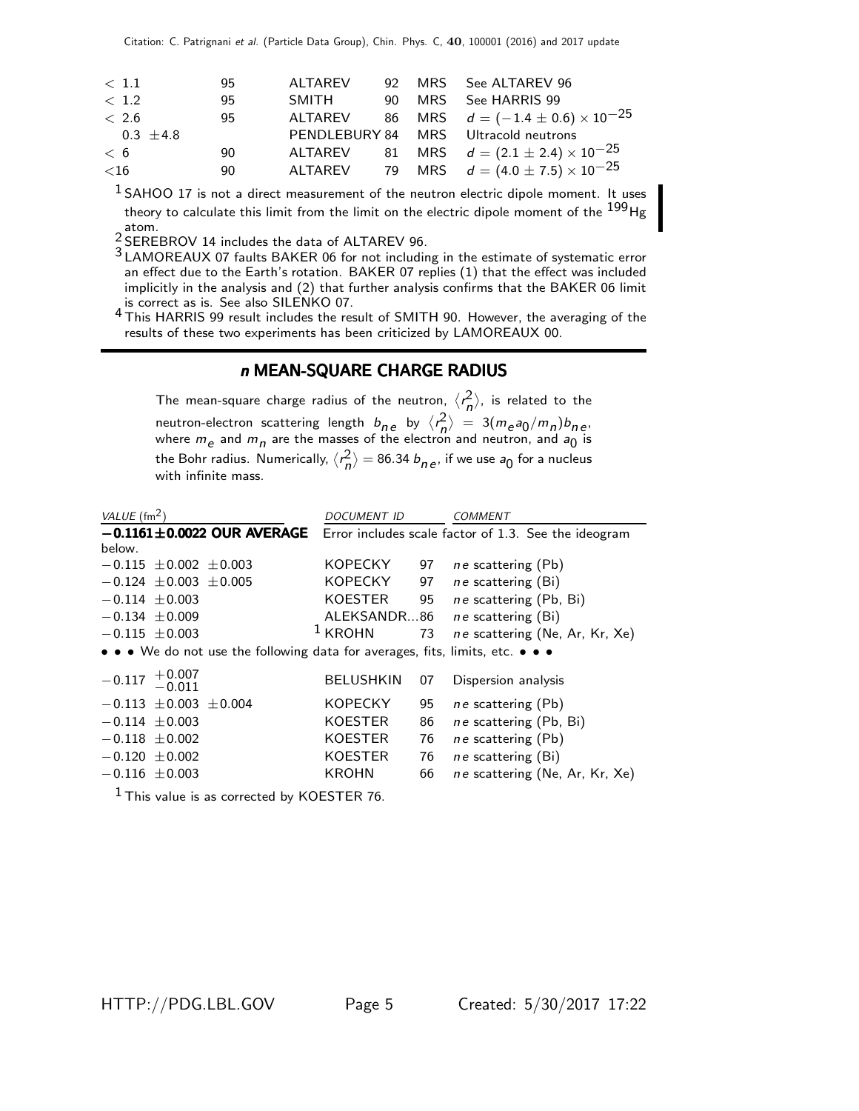| $<$ 1.1       | 95 | <b>ALTAREV</b> |     |     | 92 MRS See ALTAREV 96                              |
|---------------|----|----------------|-----|-----|----------------------------------------------------|
| < 1.2         | 95 | SMITH          | 90. | MRS | See HARRIS 99                                      |
| < 2.6         | 95 | ALTAREV        |     |     | 86 MRS $d = (-1.4 \pm 0.6) \times 10^{-25}$        |
| $0.3 \pm 4.8$ |    |                |     |     | PENDLEBURY 84 MRS Ultracold neutrons               |
| < 6           | 90 |                |     |     | ALTAREV 81 MRS $d = (2.1 \pm 2.4) \times 10^{-25}$ |
| ${<}16$       | 90 | ALTAREV        |     |     | 79 MRS $d = (4.0 \pm 7.5) \times 10^{-25}$         |
|               |    |                |     |     |                                                    |

 $1$  SAHOO 17 is not a direct measurement of the neutron electric dipole moment. It uses theory to calculate this limit from the limit on the electric dipole moment of the <sup>199</sup>Hg atom.

2 SEREBROV 14 includes the data of ALTAREV 96.

3 LAMOREAUX 07 faults BAKER 06 for not including in the estimate of systematic error an effect due to the Earth's rotation. BAKER 07 replies (1) that the effect was included implicitly in the analysis and (2) that further analysis confirms that the BAKER 06 limit is correct as is. See also SILENKO 07.

4 This HARRIS 99 result includes the result of SMITH 90. However, the averaging of the results of these two experiments has been criticized by LAMOREAUX 00.

### n MEAN-SQUARE CHARGE RADIUS

The mean-square charge radius of the neutron,  $\langle r_n^2 \rangle$ , is related to the neutron-electron scattering length  $b_{ne}$  by  $\langle r_n^2 \rangle = 3(m_e a_0/m_n) b_{ne}$ where  $m_e$  and  $m_\eta$  are the masses of the electron and neutron, and  $a_0$  is the Bohr radius. Numerically,  $\langle r_n^2 \rangle =$  86.34  $b_{n\,e}$ , if we use  $a_0$  for a nucleus with infinite mass.

| VALUE $(\text{fm}^2)$                                                         | <b>DOCUMENT ID</b> |    | COMMENT                                              |
|-------------------------------------------------------------------------------|--------------------|----|------------------------------------------------------|
| $-0.1161 \pm 0.0022$ OUR AVERAGE                                              |                    |    | Error includes scale factor of 1.3. See the ideogram |
| below.                                                                        |                    |    |                                                      |
| $-0.115 \pm 0.002 \pm 0.003$                                                  | KOPECKY            | 97 | ne scattering (Pb)                                   |
| $-0.124 \pm 0.003 \pm 0.005$                                                  | <b>KOPECKY</b>     | 97 | ne scattering (Bi)                                   |
| $-0.114 \pm 0.003$                                                            | <b>KOESTER</b>     | 95 | ne scattering (Pb, Bi)                               |
| $-0.134 \pm 0.009$                                                            | ALEKSANDR86        |    | $ne$ scattering $(Bi)$                               |
| $-0.115 \pm 0.003$                                                            | $1$ KROHN          | 73 | ne scattering (Ne, Ar, Kr, Xe)                       |
| • • • We do not use the following data for averages, fits, limits, etc. • • • |                    |    |                                                      |
|                                                                               |                    |    |                                                      |
| $-0.117$ $+0.007$<br>$-0.011$                                                 | <b>BELUSHKIN</b>   | 07 | Dispersion analysis                                  |
| $-0.113 \pm 0.003 \pm 0.004$                                                  | <b>KOPECKY</b>     | 95 | <i>ne</i> scattering (Pb)                            |
| $-0.114 \pm 0.003$                                                            | KOESTER            | 86 | ne scattering (Pb, Bi)                               |
| $-0.118 \pm 0.002$                                                            | <b>KOESTER</b>     | 76 | <i>ne</i> scattering (Pb)                            |
| $-0.120 \pm 0.002$                                                            | KOESTER            | 76 | $ne$ scattering $(Bi)$                               |
| $-0.116 \pm 0.003$                                                            | <b>KROHN</b>       | 66 | ne scattering (Ne, Ar, Kr, Xe)                       |
| $1 - \cdot$ $\cdot$                                                           |                    |    |                                                      |

 $<sup>1</sup>$  This value is as corrected by KOESTER 76.</sup>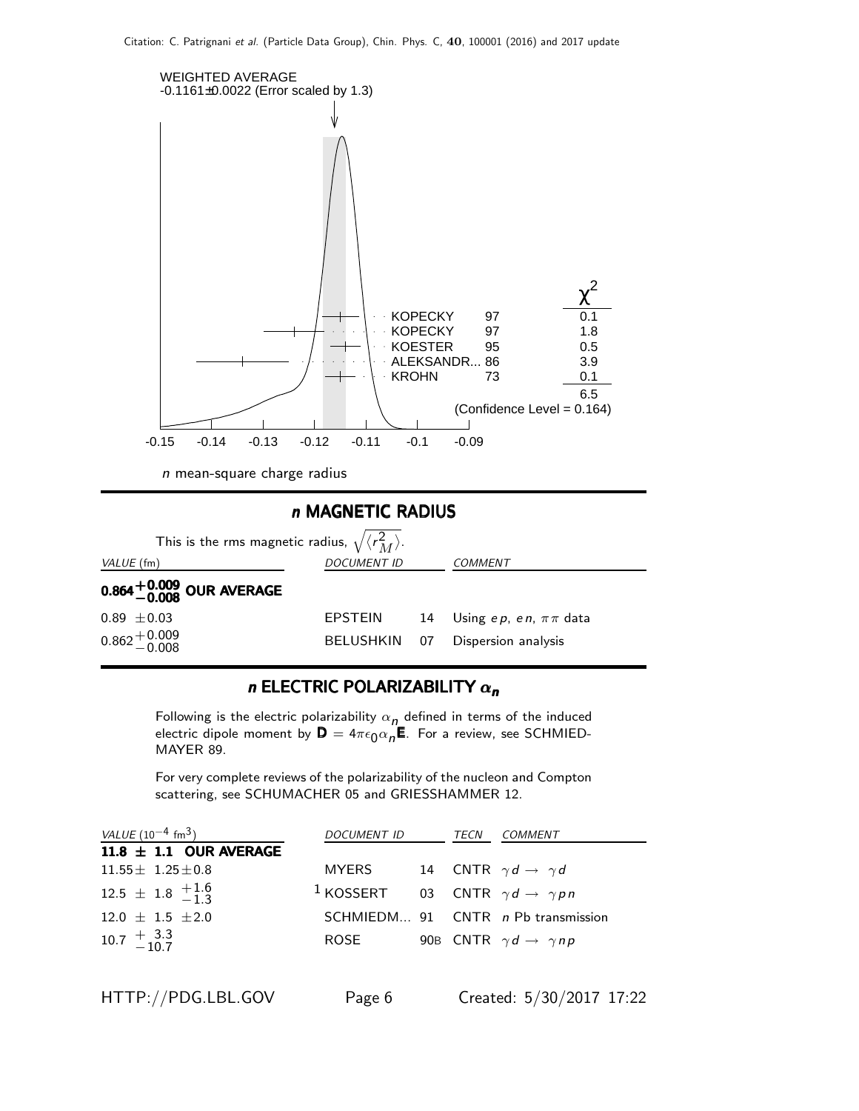



### n ELECTRIC POLARIZABILITY  $\alpha_n$

Following is the electric polarizability  $\alpha_{n}$  defined in terms of the induced electric dipole moment by  $\mathsf{D}=4\pi\epsilon_0\alpha_n\mathsf{E}$ . For a review, see SCHMIED-MAYER 89.

For very complete reviews of the polarizability of the nucleon and Compton scattering, see SCHUMACHER 05 and GRIESSHAMMER 12.

| VALUE $(10^{-4}$ fm <sup>3</sup> )                       | DOCUMENT ID                                                   | TECN | <i>COMMENT</i>                            |
|----------------------------------------------------------|---------------------------------------------------------------|------|-------------------------------------------|
| $11.8 \pm 1.1$ OUR AVERAGE                               |                                                               |      |                                           |
| $11.55 \pm 1.25 \pm 0.8$                                 | MYERS                                                         |      | 14 CNTR $\gamma d \rightarrow \gamma d$   |
| $12.5 \pm 1.8 \begin{array}{c} +1.6 \\ -1.3 \end{array}$ | <sup>1</sup> KOSSERT 03 CNTR $\gamma d \rightarrow \gamma pn$ |      |                                           |
| $12.0 \pm 1.5 \pm 2.0$                                   |                                                               |      | SCHMIEDM 91 CNTR n Pb transmission        |
| $10.7 \begin{array}{c} +3.3 \\ -10.7 \end{array}$        | ROSE                                                          |      | 90B CNTR $\gamma d \rightarrow \gamma np$ |
|                                                          |                                                               |      |                                           |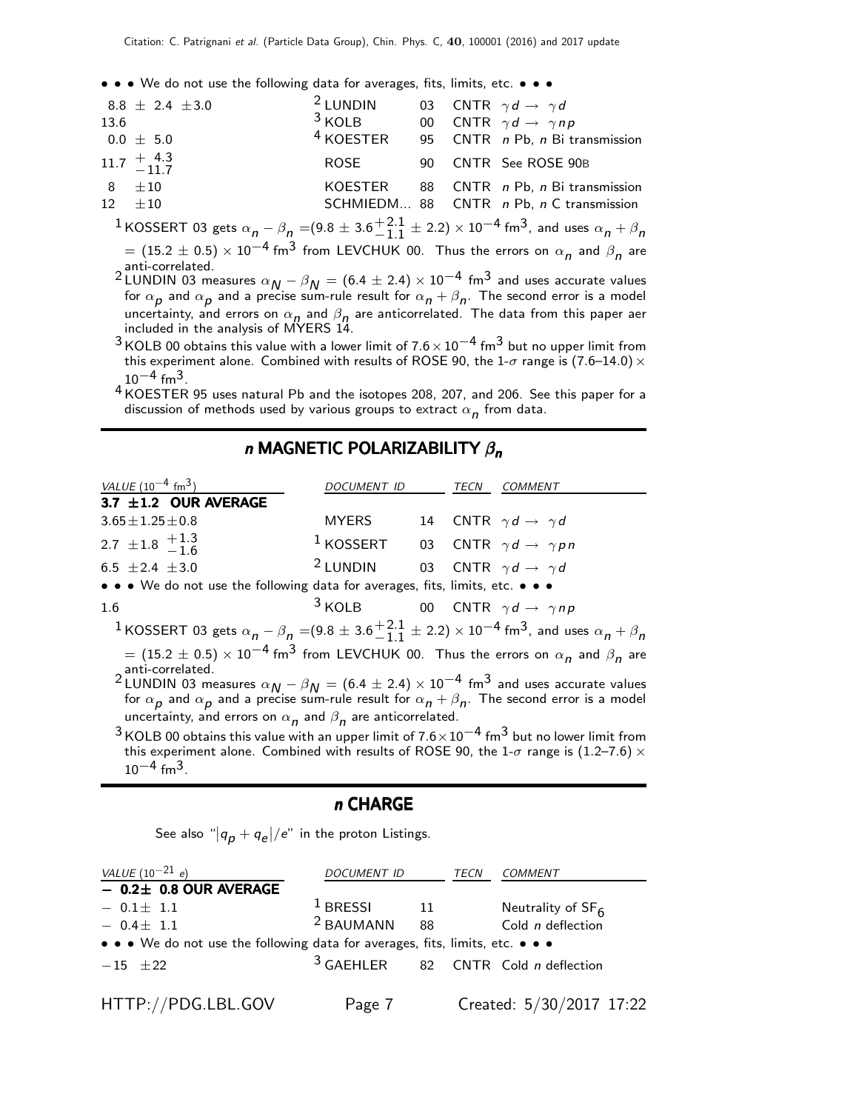• • • We do not use the following data for averages, fits, limits, etc. • • •

| 13.6 | $8.8 \pm 2.4 \pm 3.0$<br>$0.0~\pm~$ 5.0           | <sup>2</sup> LUNDIN<br>$3$ KOLB<br>$4$ KOESTER |  | 03 CNTR $\gamma d \rightarrow \gamma d$<br>00 CNTR $\gamma d \rightarrow \gamma np$<br>95 CNTR n Pb, n Bi transmission |
|------|---------------------------------------------------|------------------------------------------------|--|------------------------------------------------------------------------------------------------------------------------|
|      | $11.7 \begin{array}{c} +4.3 \\ -11.7 \end{array}$ | ROSE                                           |  | 90 CNTR See ROSE 90B                                                                                                   |
|      | $8 + 10$<br>$12 + 10$                             | KOESTER                                        |  | 88 CNTR n Pb, n Bi transmission<br>SCHMIEDM 88 CNTR n Pb, n C transmission                                             |
|      |                                                   |                                                |  |                                                                                                                        |

 $^1$ KOSSERT 03 gets  $\alpha_{\bm n}$  —  $\beta_{\bm n}$  =(9.8  $\pm$  3.6 $^{+2.1}_{-1.1}$  $^{+2.1}_{-1.1}$   $\pm$  2.2)  $\times$  10 $^{-4}$  fm<sup>3</sup>, and uses  $\alpha_{\bm n}$  +  $\beta_{\bm n}$  $= (15.2 \pm 0.5) \times 10^{-4}$  fm $^3$  from LEVCHUK 00. Thus the errors on  $\alpha_{\bm n}$  and  $\beta_{\bm n}$  are

anti-correlated.

2 LUNDIN 03 measures  $\alpha_{N} - \beta_{N} = (6.4 \pm 2.4) \times 10^{-4}$  fm<sup>3</sup> and uses accurate values for  $\alpha_{\bm p}$  and  $\alpha_{\bm p}$  and a precise sum-rule result for  $\alpha_{\bm n}+\beta_{\bm n}.$  The second error is a model uncertainty, and errors on  $\alpha_n$  and  $\beta_n$  are anticorrelated. The data from this paper aer included in the analysis of MYERS 14.

 $3$  KOLB 00 obtains this value with a lower limit of  $7.6 \times 10^{-4}$  fm<sup>3</sup> but no upper limit from this experiment alone. Combined with results of ROSE 90, the 1- $\sigma$  range is (7.6–14.0)  $\times$  $10^{-4}$  fm<sup>3</sup>.

4 KOESTER 95 uses natural Pb and the isotopes 208, 207, and 206. See this paper for a discussion of methods used by various groups to extract  $\alpha_{\bm n}$  from data.

### n MAGNETIC POLARIZABILITY  $\beta_n$

VALUE  $(10^{-4} \text{ fm}^3)$  DOCUMENT ID TECN COMMENT  $3.7 \pm 1.2$  OUR AVERAGE  $3.65 \pm 1.25 \pm 0.8$  MYERS 14 CNTR  $\gamma d \rightarrow \gamma d$ 2.7  $\pm$ 1.8  $+$ 1.3  $-1.6$ <sup>1</sup> KOSSERT 03 CNTR  $\gamma d \rightarrow \gamma pn$ 6.5  $\pm 2.4$   $\pm 3.0$ <sup>2</sup> LUNDIN 03 CNTR  $\gamma d \rightarrow \gamma d$ • • • We do not use the following data for averages, fits, limits, etc. • • • 1.6 <sup>3</sup> KOLB 00 CNTR  $\gamma d \rightarrow \gamma np$  $^1$ KOSSERT 03 gets  $\alpha_{\bm n}$  —  $\beta_{\bm n}$  =(9.8  $\pm$  3.6 $^{+2.1}_{-1.1}$  $^{+2.1}_{-1.1}$   $\pm$  2.2)  $\times$  10<sup>-4</sup> fm<sup>3</sup>, and uses  $\alpha_{\bm n}$  +  $\beta_{\bm n}$  $= (15.2 \pm 0.5) \times 10^{-4}$  fm $^3$  from LEVCHUK 00. Thus the errors on  $\alpha_{\bm n}$  and  $\beta_{\bm n}$  are anti-correlated. 2 LUNDIN 03 measures  $\alpha_{N} - \beta_{N} = (6.4 \pm 2.4) \times 10^{-4}$  fm<sup>3</sup> and uses accurate values for  $\alpha_{\bm p}$  and  $\alpha_{\bm p}$  and a precise sum-rule result for  $\alpha_{\bm n}+\beta_{\bm n}$ . The second error is a model uncertainty, and errors on  $\alpha_{\bm n}$  and  $\beta_{\bm n}$  are anticorrelated.  $3$  KOLB 00 obtains this value with an upper limit of  $7.6 \times 10^{-4}$  fm $3$  but no lower limit from this experiment alone. Combined with results of ROSE 90, the 1- $\sigma$  range is (1.2–7.6)  $\times$  $10^{-4}$  fm<sup>3</sup>.

### n CHARGE

See also " $|q_{\bm p}+q_{\bm e}|/e$ " in the proton Listings.

| VALUE $(10^{-21} e)$                                                          | <i>DOCUMENT ID</i>   |    | TECN | COMMENT                                      |
|-------------------------------------------------------------------------------|----------------------|----|------|----------------------------------------------|
| $-$ 0.2 $\pm$ 0.8 OUR AVERAGE                                                 |                      |    |      |                                              |
| $-0.1 \pm 1.1$                                                                | $1$ BRESSI           | 11 |      | Neutrality of $SF6$                          |
| $-0.4 \pm 1.1$                                                                | <sup>2</sup> BAUMANN | 88 |      | Cold n deflection                            |
| • • • We do not use the following data for averages, fits, limits, etc. • • • |                      |    |      |                                              |
| $-15$ +22                                                                     |                      |    |      | $3$ GAEHLER 82 CNTR Cold <i>n</i> deflection |
| HTTP://PDG.LBL.GOV                                                            | Page 7               |    |      | Created: 5/30/2017 17:22                     |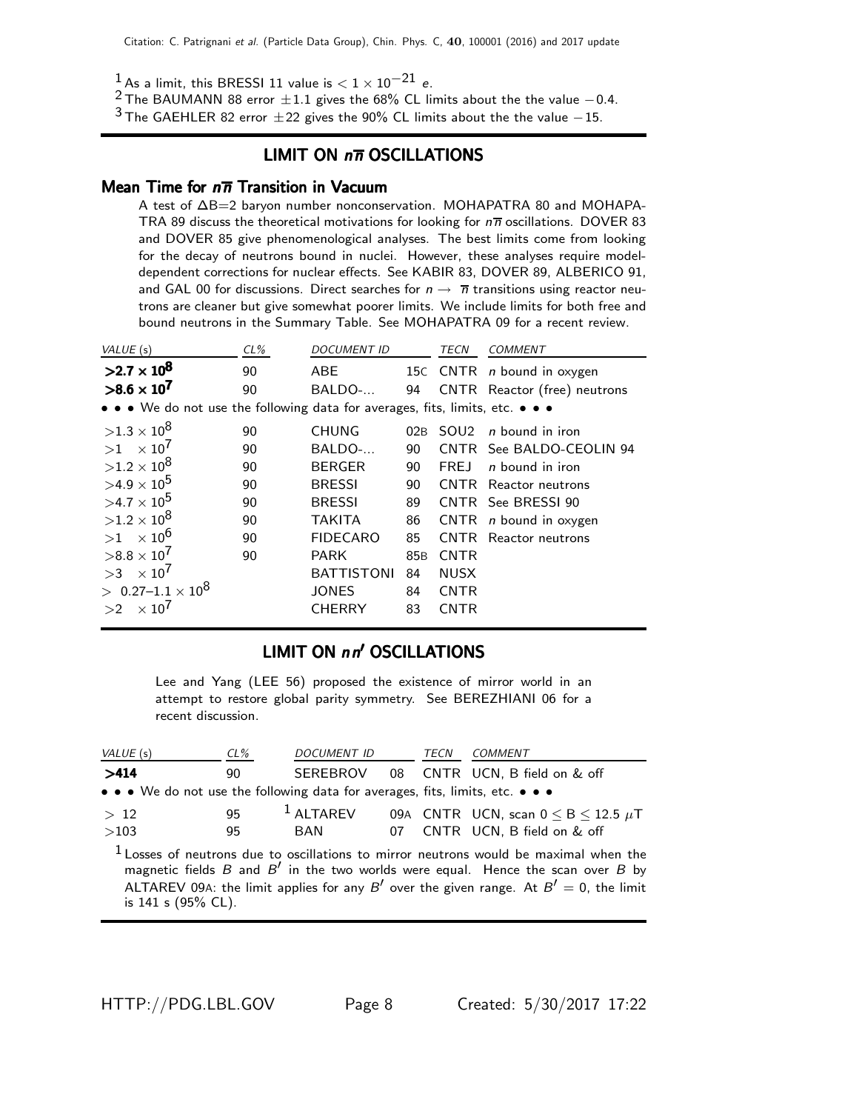$1$  As a limit, this BRESSI 11 value is  $< 1 \times 10^{-21}$  e.

<sup>2</sup> The BAUMANN 88 error  $\pm 1.1$  gives the 68% CL limits about the the value  $-0.4$ .

 $3$  The GAEHLER 82 error  $\pm 22$  gives the 90% CL limits about the the value  $-15$ .

### LIMIT ON  $n\overline{n}$  OSCILLATIONS

### Mean Time for  $n\overline{n}$  Transition in Vacuum

A test of ∆B=2 baryon number nonconservation. MOHAPATRA 80 and MOHAPA-TRA 89 discuss the theoretical motivations for looking for  $n\overline{n}$  oscillations. DOVER 83 and DOVER 85 give phenomenological analyses. The best limits come from looking for the decay of neutrons bound in nuclei. However, these analyses require modeldependent corrections for nuclear effects. See KABIR 83, DOVER 89, ALBERICO 91, and GAL 00 for discussions. Direct searches for  $n \to \overline{n}$  transitions using reactor neutrons are cleaner but give somewhat poorer limits. We include limits for both free and bound neutrons in the Summary Table. See MOHAPATRA 09 for a recent review.

| VALUE (s)                                                                     | $CL\%$ | DOCUMENT ID       |                 | TECN        | <b>COMMENT</b>                    |
|-------------------------------------------------------------------------------|--------|-------------------|-----------------|-------------|-----------------------------------|
| $>2.7 \times 10^8$                                                            | 90     | <b>ABE</b>        |                 |             | 15C CNTR <i>n</i> bound in oxygen |
| $>8.6 \times 10^{7}$                                                          | 90     | BALDO-            | 94              |             | CNTR Reactor (free) neutrons      |
| • • • We do not use the following data for averages, fits, limits, etc. • • • |        |                   |                 |             |                                   |
| $>1.3\times10^{8}$                                                            | 90     | <b>CHUNG</b>      | 02B             |             | $SOL2$ <i>n</i> bound in iron     |
| $>1$ $\times$ 10 <sup>7</sup>                                                 | 90     | BALDO-            | 90              |             | CNTR See BALDO-CEOLIN 94          |
| $>1.2\times10^{8}$                                                            | 90     | <b>BERGER</b>     | 90              | <b>FREJ</b> | <i>n</i> bound in iron            |
| $>4.9\times10^{5}$                                                            | 90     | <b>BRESSI</b>     | 90              |             | <b>CNTR</b> Reactor neutrons      |
| $>4.7\times10^{5}$                                                            | 90     | <b>BRESSI</b>     | 89              |             | CNTR See BRESSI 90                |
| $>1.2\times10^{8}$                                                            | 90     | <b>TAKITA</b>     | 86              |             | CNTR $n$ bound in oxygen          |
| $>1$ $\times$ 10 <sup>6</sup>                                                 | 90     | <b>FIDECARO</b>   | 85              | CNTR        | Reactor neutrons                  |
| $>8.8\times10^{7}$                                                            | 90     | <b>PARK</b>       | 85 <sub>B</sub> | <b>CNTR</b> |                                   |
| $>3 \times 10^7$                                                              |        | <b>BATTISTONI</b> | 84              | <b>NUSX</b> |                                   |
| $> 0.27 - 1.1 \times 10^8$                                                    |        | <b>JONES</b>      | 84              | <b>CNTR</b> |                                   |
| $\times 10^7$<br>>2                                                           |        | <b>CHERRY</b>     | 83              | <b>CNTR</b> |                                   |

### LIMIT ON nn' OSCILLATIONS

Lee and Yang (LEE 56) proposed the existence of mirror world in an attempt to restore global parity symmetry. See BEREZHIANI 06 for a recent discussion.

| VALUE (s)                                                                     | $CL\%$ | <i>DOCUMENT ID</i> | TECN | <i>COMMENT</i>                                                                                                                                                                                                                                                              |
|-------------------------------------------------------------------------------|--------|--------------------|------|-----------------------------------------------------------------------------------------------------------------------------------------------------------------------------------------------------------------------------------------------------------------------------|
| >414                                                                          | 90     |                    |      | SEREBROV 08 CNTR UCN, B field on & off                                                                                                                                                                                                                                      |
| • • • We do not use the following data for averages, fits, limits, etc. • • • |        |                    |      |                                                                                                                                                                                                                                                                             |
| >12                                                                           | 95     | $1$ ALTAREV        |      | 09A CNTR UCN, scan $0 \leq B \leq 12.5 \mu T$                                                                                                                                                                                                                               |
| >103                                                                          | 95     | BAN                |      | 07 CNTR UCN, B field on & off                                                                                                                                                                                                                                               |
| is $141$ s $(95\%$ CL).                                                       |        |                    |      | $1$ Losses of neutrons due to oscillations to mirror neutrons would be maximal when the<br>magnetic fields $B$ and $B'$ in the two worlds were equal. Hence the scan over $B$ by<br>ALTAREV 09A: the limit applies for any B' over the given range. At $B' = 0$ , the limit |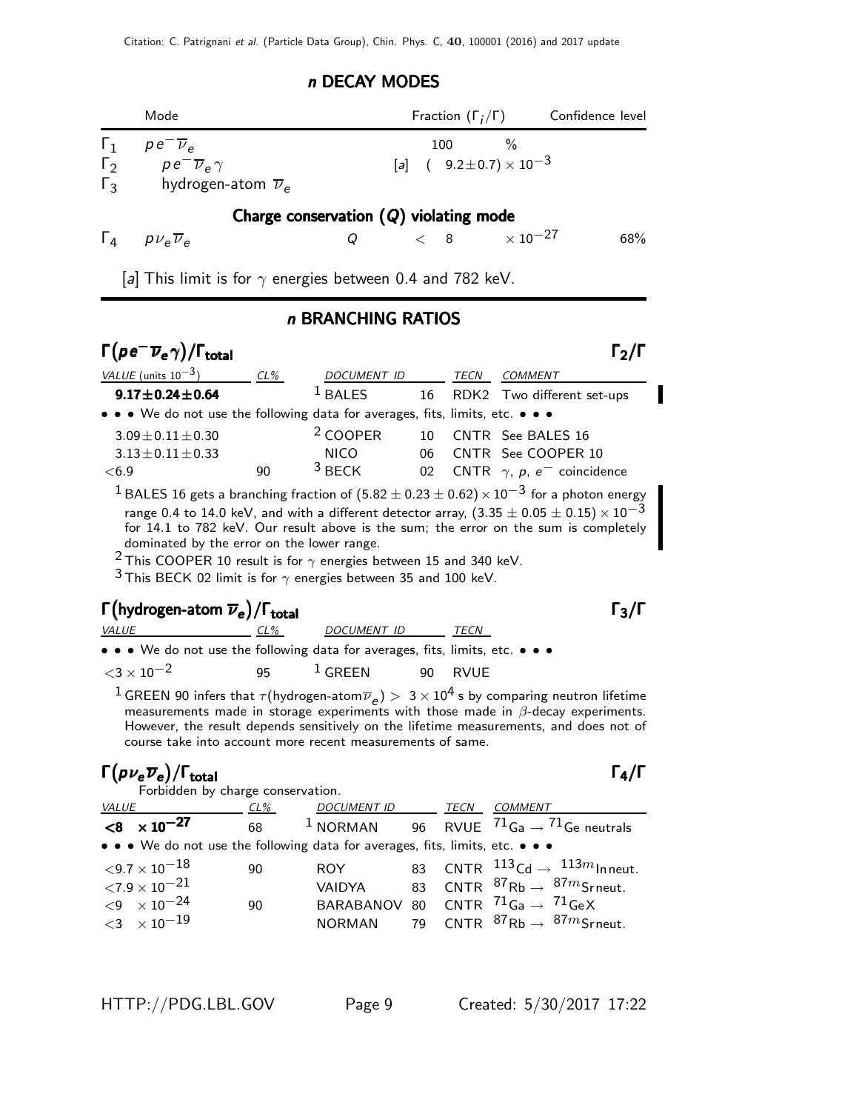### n DECAY MODES

|                                        | Mode                                                                                         | Fraction $(\Gamma_i/\Gamma)$ Confidence level           |     |
|----------------------------------------|----------------------------------------------------------------------------------------------|---------------------------------------------------------|-----|
| $\Gamma_1$<br>$\Gamma_2$<br>$\Gamma_3$ | $pe^{\overline{\nu}}$<br>$pe^{-}\overline{\nu}_e \gamma$<br>hydrogen-atom $\overline{\nu}_e$ | 100 $\frac{9}{6}$<br>[a] $(9.2 \pm 0.7) \times 10^{-3}$ |     |
|                                        |                                                                                              | Charge conservation $(Q)$ violating mode                |     |
|                                        | $\Gamma_4$ $p\nu_e \overline{\nu}_e$<br>Q                                                    | $< 8$ $\times$ 10 <sup>-27</sup>                        | 68% |
|                                        | a  This limit is for $\gamma$ energies between 0.4 and 782 keV.                              |                                                         |     |
|                                        |                                                                                              | n BRANCHING RATIOS                                      |     |

# $\Gamma (pe^-\overline{\nu}_e \gamma)/\Gamma_{\rm total}$

| VALUE (units $10^{-3}$ )                                                                                                                                                                      | $CL\%$ | DOCUMENT ID         |                 | TECN | COMMENT                                                                                                          |  |
|-----------------------------------------------------------------------------------------------------------------------------------------------------------------------------------------------|--------|---------------------|-----------------|------|------------------------------------------------------------------------------------------------------------------|--|
| $9.17 \pm 0.24 \pm 0.64$                                                                                                                                                                      |        | $1$ BALES           | 16              |      | RDK2 Two different set-ups                                                                                       |  |
| • • • We do not use the following data for averages, fits, limits, etc. • • •                                                                                                                 |        |                     |                 |      |                                                                                                                  |  |
| $3.09 \pm 0.11 \pm 0.30$                                                                                                                                                                      |        | <sup>2</sup> COOPER | 10 <sup>1</sup> |      | CNTR See BALES 16                                                                                                |  |
| $3.13 \pm 0.11 \pm 0.33$                                                                                                                                                                      |        | <b>NICO</b>         | 06              |      | CNTR See COOPER 10                                                                                               |  |
| < 6.9                                                                                                                                                                                         | 90     | $3$ BECK            | 02 <sub>o</sub> |      | CNTR $\gamma$ , p, e <sup>-</sup> coincidence                                                                    |  |
|                                                                                                                                                                                               |        |                     |                 |      | <sup>1</sup> BALES 16 gets a branching fraction of $(5.82 \pm 0.23 \pm 0.62) \times 10^{-3}$ for a photon energy |  |
| range 0.4 to 14.0 keV, and with a different detector array, $(3.35 \pm 0.05 \pm 0.15) \times 10^{-3}$<br>for 14.1 to 782 keV. Our result above is the sum; the error on the sum is completely |        |                     |                 |      |                                                                                                                  |  |
| dominated by the error on the lower range.<br><sup>2</sup> This COOPER 10 result is for $\gamma$ energies between 15 and 340 keV.                                                             |        |                     |                 |      |                                                                                                                  |  |
|                                                                                                                                                                                               |        |                     |                 |      |                                                                                                                  |  |
|                                                                                                                                                                                               |        |                     |                 |      |                                                                                                                  |  |

<sup>3</sup> This BECK 02 limit is for  $\gamma$  energies between 35 and 100 keV.

### $\Gamma(\text{hydrogen-atom }\overline{\nu}_e)/\Gamma_\text{total}$ VALUE CL% DOCUMENT ID TECN

|  |                           |  |  | • • • We do not use the following data for averages, fits, limits, etc. • • • |           |  |  |         |  |  |
|--|---------------------------|--|--|-------------------------------------------------------------------------------|-----------|--|--|---------|--|--|
|  | $<$ 3 $\times$ 10 $^{-2}$ |  |  | 95                                                                            | $1$ GREEN |  |  | 90 RVUE |  |  |

 $^1$  GREEN 90 infers that  $\tau$ (hydrogen-atom $\overline{\nu}_e)>~3\times10^4$  s by comparing neutron lifetime measurements made in storage experiments with those made in  $β$ -decay experiments. However, the result depends sensitively on the lifetime measurements, and does not of course take into account more recent measurements of same.

# $\Gamma(p\nu_{\bf e} \overline{\nu}_{\bf e})/\Gamma_{\bf total}$

|--|--|--|

Forbidden by charge conservation.

| <i>VALUE</i> |                                                                               | $CL\%$ | DOCUMENT ID TECN |  | <b>COMMENT</b>                                                 |
|--------------|-------------------------------------------------------------------------------|--------|------------------|--|----------------------------------------------------------------|
|              | $< 8 \times 10^{-27}$                                                         | 68     | $1$ NORMAN       |  | 96 $\,$ RVUE $\,$ $^{71}$ Ga $\rightarrow$ $^{71}$ Ge neutrals |
|              | • • • We do not use the following data for averages, fits, limits, etc. • • • |        |                  |  |                                                                |
|              | ${<}9.7\times10^{-18}$                                                        | 90     | ROY -            |  | 83 CNTR $^{113}$ Cd $\rightarrow$ $^{113m}$ Inneut.            |
|              | ${<}7.9\times10^{-21}$                                                        |        | <b>VAIDYA</b>    |  | 83 CNTR ${}^{87}$ Rb $\rightarrow$ ${}^{87m}$ Srneut.          |
|              | $<$ 9 $\times$ 10 $^{-24}$                                                    | 90     |                  |  | BARABANOV 80 CNTR $^{71}$ Ga $\rightarrow$ $^{71}$ GeX         |
|              | $<$ 3 $\times10^{-19}$                                                        |        |                  |  | NORMAN 79 CNTR ${}^{87}$ Rb $\rightarrow {}^{87}$ mSrneut.     |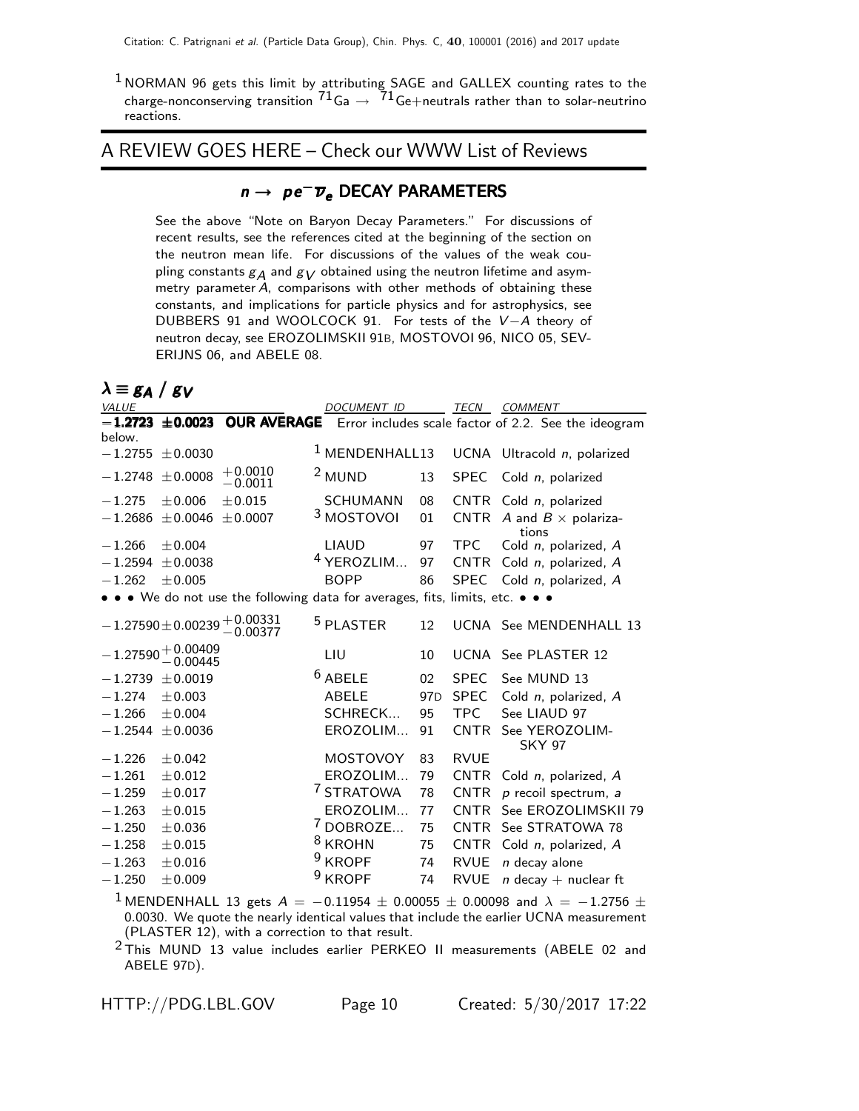$1$  NORMAN 96 gets this limit by attributing SAGE and GALLEX counting rates to the charge-nonconserving transition  $^{71}$ Ga  $\rightarrow$   $~^{71}$ Ge $+$ neutrals rather than to solar-neutrino reactions.

### A REVIEW GOES HERE – Check our WWW List of Reviews

# $n \rightarrow \rho e^{-} \overline{\nu}_e$  DECAY PARAMETERS

See the above "Note on Baryon Decay Parameters." For discussions of recent results, see the references cited at the beginning of the section on the neutron mean life. For discussions of the values of the weak coupling constants  $g_A$  and  $g_V$  obtained using the neutron lifetime and asymmetry parameter A, comparisons with other methods of obtaining these constants, and implications for particle physics and for astrophysics, see DUBBERS 91 and WOOLCOCK 91. For tests of the V −A theory of neutron decay, see EROZOLIMSKII 91B, MOSTOVOI 96, NICO 05, SEV-ERIJNS 06, and ABELE 08.

# $\lambda \equiv g_A / g_V$

| VALUE               |                                |                                                    | <b>DOCUMENT ID</b>                                                            |                 | TECN        | COMMENT                                                                  |
|---------------------|--------------------------------|----------------------------------------------------|-------------------------------------------------------------------------------|-----------------|-------------|--------------------------------------------------------------------------|
| $-1.2723$<br>below. |                                |                                                    |                                                                               |                 |             | ±0.0023 OUR AVERAGE Error includes scale factor of 2.2. See the ideogram |
|                     | $-1.2755 \pm 0.0030$           |                                                    | <sup>1</sup> MENDENHALL13                                                     |                 |             | UCNA Ultracold n, polarized                                              |
| $-1.2748$           | ± 0.0008                       | $+0.0010$<br>$-0.0011$                             | <sup>2</sup> MUND                                                             | 13              | <b>SPEC</b> | Cold n, polarized                                                        |
| $-1.275$            | ± 0.006                        | ±0.015                                             | <b>SCHUMANN</b>                                                               | 08              |             | CNTR Cold n, polarized                                                   |
| $-1.2686$           | ± 0.0046                       | ± 0.0007                                           | 3 MOSTOVOI                                                                    | 01              | <b>CNTR</b> | A and $B \times$ polariza-<br>tions                                      |
| $-1.266$            | ± 0.004                        |                                                    | LIAUD                                                                         | 97              | <b>TPC</b>  | Cold n, polarized, A                                                     |
| $-1.2594$           | ± 0.0038                       |                                                    | <sup>4</sup> YEROZLIM                                                         | 97              | <b>CNTR</b> | Cold n, polarized, A                                                     |
| $-1.262$            | ± 0.005                        |                                                    | <b>BOPP</b>                                                                   | 86              | <b>SPEC</b> | Cold n, polarized, A                                                     |
|                     |                                |                                                    | • • • We do not use the following data for averages, fits, limits, etc. • • • |                 |             |                                                                          |
|                     |                                | $-1.27590 \pm 0.00239 \, {}^{+0.00331}_{-0.00377}$ | <sup>5</sup> PLASTER                                                          | 12              |             | UCNA See MENDENHALL 13                                                   |
|                     | $-1.27590 + 0.00409 - 0.00445$ |                                                    | LIU                                                                           | 10              |             | UCNA See PLASTER 12                                                      |
| $-1.2739$           | ± 0.0019                       |                                                    | $6$ ABELE                                                                     | 02              | <b>SPEC</b> | See MUND 13                                                              |
| $-1.274$            | $\pm 0.003$                    |                                                    | <b>ABELE</b>                                                                  | 97 <sub>D</sub> | <b>SPEC</b> | Cold n, polarized, A                                                     |
| $-1.266$            | ± 0.004                        |                                                    | SCHRECK                                                                       | 95              | <b>TPC</b>  | See LIAUD 97                                                             |
| $-1.2544$           | ± 0.0036                       |                                                    | EROZOLIM                                                                      | 91              | <b>CNTR</b> | See YEROZOLIM-<br><b>SKY 97</b>                                          |
| $-1.226$            | ±0.042                         |                                                    | MOSTOVOY                                                                      | 83              | <b>RVUE</b> |                                                                          |
| $-1.261$            | $\pm 0.012$                    |                                                    | EROZOLIM                                                                      | 79              | <b>CNTR</b> | Cold n, polarized, A                                                     |
| $-1.259$            | $\pm 0.017$                    |                                                    | <sup>7</sup> STRATOWA                                                         | 78              | <b>CNTR</b> | $p$ recoil spectrum, $a$                                                 |
| $-1.263$            | $\pm 0.015$                    |                                                    | EROZOLIM                                                                      | 77              | <b>CNTR</b> | See EROZOLIMSKII 79                                                      |
| $-1.250$            | ± 0.036                        |                                                    | $7$ DOBROZE                                                                   | 75              | <b>CNTR</b> | See STRATOWA 78                                                          |
| $-1.258$            | $\pm 0.015$                    |                                                    | <sup>8</sup> KROHN                                                            | 75              | <b>CNTR</b> | Cold n, polarized, A                                                     |
| $-1.263$            | $\pm 0.016$                    |                                                    | 9<br><b>KROPF</b>                                                             | 74              | <b>RVUE</b> | $n$ decay alone                                                          |
| $-1.250$            | ± 0.009                        |                                                    | $9$ KROPF                                                                     | 74              | <b>RVUE</b> | $n$ decay + nuclear ft                                                   |
|                     |                                |                                                    |                                                                               |                 |             |                                                                          |

<sup>1</sup> MENDENHALL 13 gets  $A = -0.11954 \pm 0.00055 \pm 0.00098$  and  $\lambda = -1.2756 \pm 0.00098$ 0.0030. We quote the nearly identical values that include the earlier UCNA measurement (PLASTER 12), with a correction to that result.

<sup>2</sup> This MUND 13 value includes earlier PERKEO II measurements (ABELE 02 and ABELE 97D).

HTTP://PDG.LBL.GOV Page 10 Created: 5/30/2017 17:22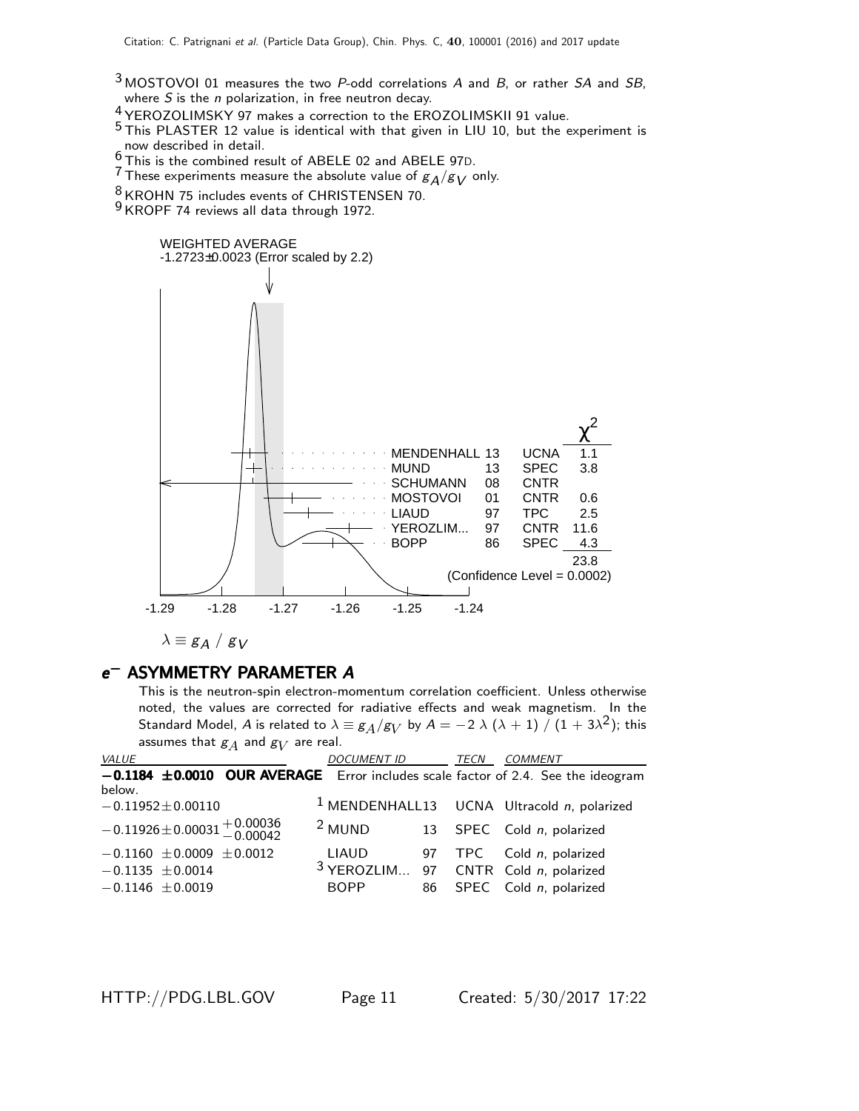- $3$  MOSTOVOI 01 measures the two P-odd correlations A and B, or rather SA and SB, where  $S$  is the  $n$  polarization, in free neutron decay.
- 4 YEROZOLIMSKY 97 makes a correction to the EROZOLIMSKII 91 value.
- 5 This PLASTER 12 value is identical with that given in LIU 10, but the experiment is
- now described in detail. 6 This is the combined result of ABELE 02 and ABELE 97D.
- <sup>7</sup> These experiments measure the absolute value of  $g_A/g_V$  only.
- 8 KROHN 75 includes events of CHRISTENSEN 70.

<sup>9</sup> KROPF 74 reviews all data through 1972.



# e<sup>-</sup> ASYMMETRY PARAMETER A

This is the neutron-spin electron-momentum correlation coefficient. Unless otherwise noted, the values are corrected for radiative effects and weak magnetism. In the Standard Model,  $A$  is related to  $\lambda \equiv g_A/g_V$  by  $A=-2\;\lambda\;(\lambda+1)\;/\;(1+3\lambda^2);$  this assumes that  $\mathcal{g}_A$  and  $\mathcal{g}_V$  are real.

| <i>VALUE</i>                                                                          | DOCUMENT ID TECN                                | <i>COMMENT</i>                                           |
|---------------------------------------------------------------------------------------|-------------------------------------------------|----------------------------------------------------------|
| $-0.1184 \pm 0.0010$ OUR AVERAGE Error includes scale factor of 2.4. See the ideogram |                                                 |                                                          |
| below.                                                                                |                                                 |                                                          |
| $-0.11952 \pm 0.00110$                                                                |                                                 | <sup>1</sup> MENDENHALL13 UCNA Ultracold $n$ , polarized |
| $-0.11926 \pm 0.00031 \pm 0.00036$<br>$-0.00042$                                      | <sup>2</sup> MUND                               | 13 SPEC Cold n, polarized                                |
| $-0.1160 \pm 0.0009 \pm 0.0012$                                                       | <b>LIAUD</b>                                    | 97 TPC Cold n, polarized                                 |
| $-0.1135 \pm 0.0014$                                                                  | <sup>3</sup> YEROZLIM 97 CNTR Cold n, polarized |                                                          |
| $-0.1146 \pm 0.0019$                                                                  | <b>BOPP</b>                                     | 86 SPEC Cold n, polarized                                |
|                                                                                       |                                                 |                                                          |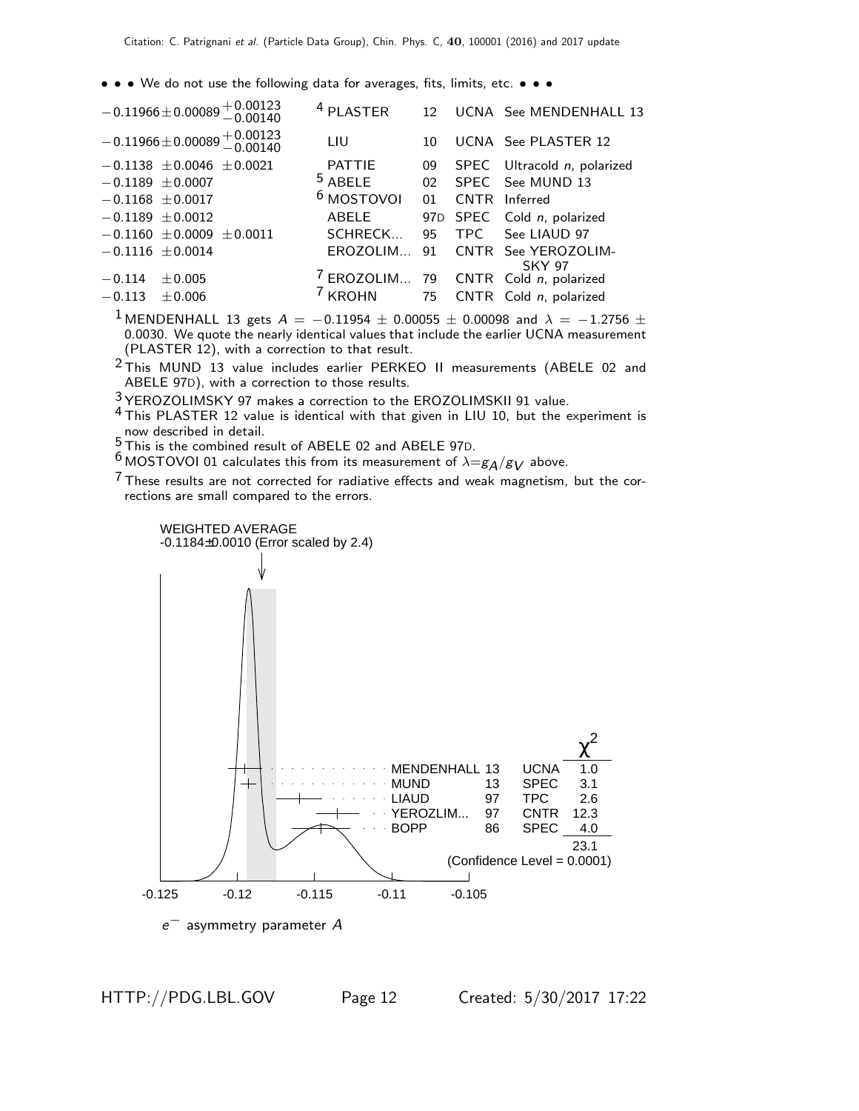• • • We do not use the following data for averages, fits, limits, etc. • • •

| $-0.11966 \pm 0.00089 + 0.00123$<br>-0.00140   | <sup>4</sup> PLASTER  |    | 12 UCNA See MENDENHALL 13                       |
|------------------------------------------------|-----------------------|----|-------------------------------------------------|
| $-0.11966 \pm 0.00089 + 0.00123$<br>$-0.00140$ | LIU                   | 10 | UCNA See PLASTER 12                             |
| $-0.1138 \pm 0.0046 \pm 0.0021$                | <b>PATTIE</b>         | 09 | SPEC Ultracold n, polarized                     |
| $-0.1189 \pm 0.0007$                           | $5$ ABELE             |    | 02 SPEC See MUND 13                             |
| $-0.1168 \pm 0.0017$                           | <sup>6</sup> MOSTOVOI | 01 | CNTR Inferred                                   |
| $-0.1189 \pm 0.0012$                           | ABELE                 |    | 97D SPEC Cold n, polarized                      |
| $-0.1160 \pm 0.0009 \pm 0.0011$                | SCHRECK               |    | 95 TPC See LIAUD 97                             |
| $-0.1116 \pm 0.0014$                           | EROZOLIM              | 91 | CNTR See YEROZOLIM-<br><b>SKY 97</b>            |
| ± 0.005<br>$-0.114$                            |                       |    | <sup>7</sup> EROZOLIM 79 CNTR Cold n, polarized |
| $-0.113$<br>$+0.006$                           | <sup>7</sup> KROHN    |    | 75 CNTR Cold n, polarized                       |
|                                                |                       |    |                                                 |

<sup>1</sup> MENDENHALL 13 gets  $A = -0.11954 \pm 0.00055 \pm 0.00098$  and  $\lambda = -1.2756 \pm 0.00098$ 0.0030. We quote the nearly identical values that include the earlier UCNA measurement (PLASTER 12), with a correction to that result.

2 This MUND 13 value includes earlier PERKEO II measurements (ABELE 02 and ABELE 97D), with a correction to those results.

3 YEROZOLIMSKY 97 makes a correction to the EROZOLIMSKII 91 value.

- 4 This PLASTER 12 value is identical with that given in LIU 10, but the experiment is now described in detail.
- 5 now described in detail.<br> $\frac{5}{2}$ This is the combined result of ABELE 02 and ABELE 97D.

<sup>6</sup> MOSTOVOI 01 calculates this from its measurement of  $\lambda = g_A/g_V$  above.

 $7$  These results are not corrected for radiative effects and weak magnetism, but the corrections are small compared to the errors.

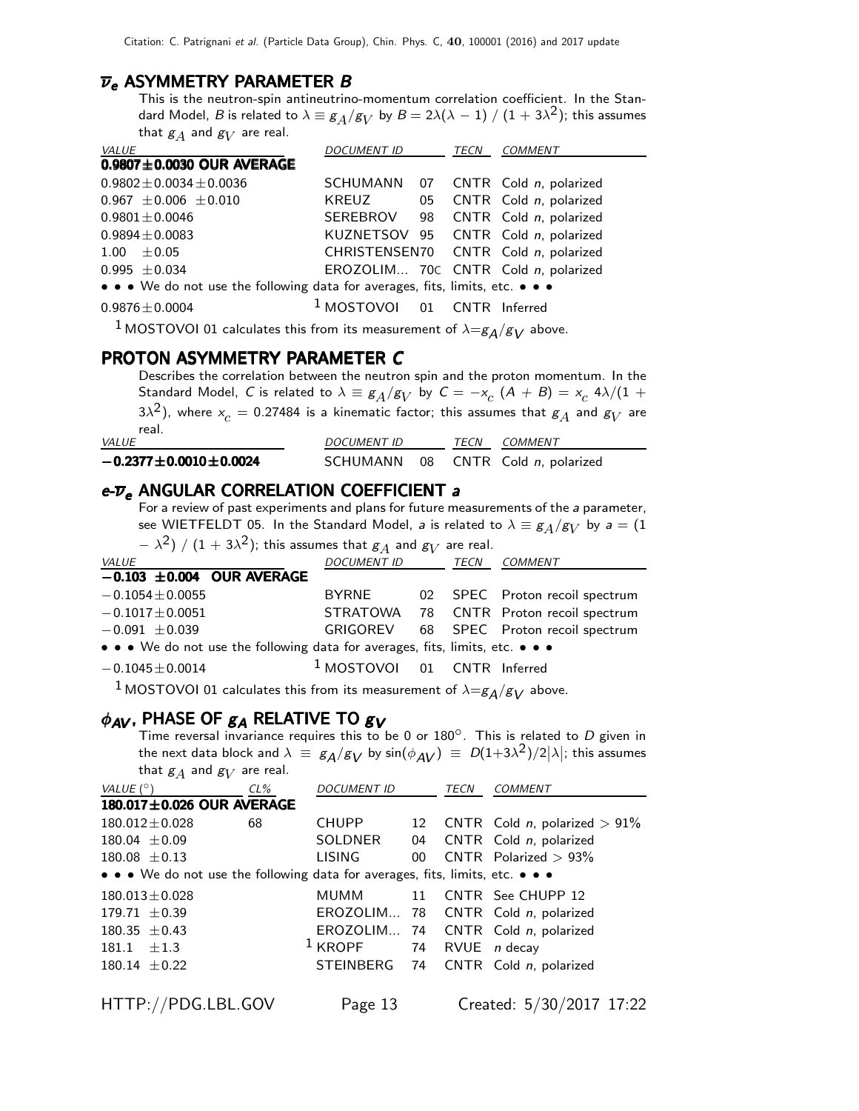### $\overline{\nu}_e$  ASYMMETRY PARAMETER B

This is the neutron-spin antineutrino-momentum correlation coefficient. In the Standard Model,  $B$  is related to  $\lambda\equiv g_A/g_V$  by  $B=2\lambda(\lambda-1)\mathbin{/} (1+3\lambda^2)$ ; this assumes that  $\mathcal{g}_A$  and  $\mathcal{g}_V$  are real.

| VALUE                                                                         | <b>DOCUMENT ID</b>                     | TECN | COMMENT                              |
|-------------------------------------------------------------------------------|----------------------------------------|------|--------------------------------------|
| $0.9807 \pm 0.0030$ OUR AVERAGE                                               |                                        |      |                                      |
| $0.9802 \pm 0.0034 \pm 0.0036$                                                |                                        |      | SCHUMANN 07 CNTR Cold n, polarized   |
| $0.967 \pm 0.006 \pm 0.010$                                                   | KREUZ 05                               |      | CNTR Cold n, polarized               |
| $0.9801 \pm 0.0046$                                                           |                                        |      | SEREBROV 98 CNTR Cold n, polarized   |
| $0.9894 \pm 0.0083$                                                           |                                        |      | KUZNETSOV 95 CNTR Cold n, polarized  |
| $1.00 + 0.05$                                                                 |                                        |      | CHRISTENSEN70 CNTR Cold n, polarized |
| $0.995 \pm 0.034$                                                             |                                        |      | EROZOLIM 70C CNTR Cold n, polarized  |
| • • • We do not use the following data for averages, fits, limits, etc. • • • |                                        |      |                                      |
| $0.9876 \pm 0.0004$                                                           | <sup>1</sup> MOSTOVOI 01 CNTR Inferred |      |                                      |

 $^1$ MOSTOVOI 01 calculates this from its measurement of  $\lambda = g_A/g_V$  above.

### PROTON ASYMMETRY PARAMETER C

Describes the correlation between the neutron spin and the proton momentum. In the Standard Model, C is related to  $\lambda \equiv g_A/g_V$  by  $C = -x_c$   $(A + B) = x_c$  4 $\lambda/(1 +$ 3 $\lambda^2$ ), where  $\mathrm{x}_c=$  0.27484 is a kinematic factor; this assumes that  $\mathrm{g}_A$  and  $\mathrm{g}_V$  are real. VALUE VALUE VALUE DOCUMENT ID TECN COMMENT

| $-0.2377 \pm 0.0010 \pm 0.0024$ |  | SCHUMANN 08 CNTR Cold n, polarized |
|---------------------------------|--|------------------------------------|

### $e$ - $\overline{\nu}_e$  ANGULAR CORRELATION COEFFICIENT a

For a review of past experiments and plans for future measurements of the a parameter, see WIETFELDT 05. In the Standard Model, *a* is related to  $\lambda \equiv g_A/g_V$  by  $a = (1, 1)$ 

| $(\lambda - \lambda^2)$ / $(1 + 3\lambda^2)$ ; this assumes that $g_A$ and $g_V$ are real. |                               |  |  |                                         |  |  |  |  |
|--------------------------------------------------------------------------------------------|-------------------------------|--|--|-----------------------------------------|--|--|--|--|
| <b>VALUE</b>                                                                               | DOCUMENT ID TECN COMMENT      |  |  |                                         |  |  |  |  |
| $-0.103 \pm 0.004$ OUR AVERAGE                                                             |                               |  |  |                                         |  |  |  |  |
| $-0.1054 \pm 0.0055$                                                                       | BYRNE                         |  |  | 02 SPEC Proton recoil spectrum          |  |  |  |  |
| $-0.1017 \pm 0.0051$                                                                       |                               |  |  | STRATOWA 78 CNTR Proton recoil spectrum |  |  |  |  |
| $-0.091 \pm 0.039$                                                                         |                               |  |  | GRIGOREV 68 SPEC Proton recoil spectrum |  |  |  |  |
| • • • We do not use the following data for averages, fits, limits, etc. • • •              |                               |  |  |                                         |  |  |  |  |
| $-0.1045 \pm 0.0014$                                                                       | $1$ MOSTOVOI 01 CNTR Inferred |  |  |                                         |  |  |  |  |
|                                                                                            |                               |  |  |                                         |  |  |  |  |

<sup>1</sup> MOSTOVOI 01 calculates this from its measurement of  $\lambda = g_A/g_V$  above.

### $\phi_{AV}$ , PHASE OF  $g_A$  RELATIVE TO  $g_V$

Time reversal invariance requires this to be 0 or  $180^\circ$ . This is related to D given in the next data block and  $\lambda \equiv g_{\cal A}/g_{\cal V}$  by  $\sin(\phi_{\cal A V}) \equiv \, D(1+3\lambda^2)/2 |\lambda|;$  this assumes that  $\mathcal{g}_A$  and  $\mathcal{g}_V$  are real.

| VALUE $(^\circ)$                                                              | $CL\%$ | <b>DOCUMENT ID</b> |    | <b>TECN</b> | <b>COMMENT</b>                      |  |  |  |
|-------------------------------------------------------------------------------|--------|--------------------|----|-------------|-------------------------------------|--|--|--|
| 180.017±0.026 OUR AVERAGE                                                     |        |                    |    |             |                                     |  |  |  |
| $180.012 \pm 0.028$                                                           | 68     | <b>CHUPP</b>       | 12 |             | CNTR Cold n, polarized $> 91\%$     |  |  |  |
| $180.04 \pm 0.09$                                                             |        | SOLDNER            |    |             | 04 CNTR Cold n, polarized           |  |  |  |
| $180.08 \pm 0.13$                                                             |        | LISING             |    |             | 00 CNTR Polarized $> 93\%$          |  |  |  |
| • • • We do not use the following data for averages, fits, limits, etc. • • • |        |                    |    |             |                                     |  |  |  |
| $180.013 \pm 0.028$                                                           |        | <b>MUMM</b>        | 11 |             | CNTR See CHUPP 12                   |  |  |  |
| $179.71 \pm 0.39$                                                             |        |                    |    |             | EROZOLIM 78 CNTR Cold n, polarized  |  |  |  |
| $180.35 \pm 0.43$                                                             |        |                    |    |             | EROZOLIM 74 CNTR Cold n, polarized  |  |  |  |
| $181.1 + 1.3$                                                                 |        | $1$ KROPF          |    |             | 74 RVUE <i>n</i> decay              |  |  |  |
| $180.14 \pm 0.22$                                                             |        |                    |    |             | STEINBERG 74 CNTR Cold n, polarized |  |  |  |
|                                                                               |        |                    |    |             |                                     |  |  |  |
| HTTP://PDG.LBL.GOV                                                            |        | Page 13            |    |             | Created: 5/30/2017 17:22            |  |  |  |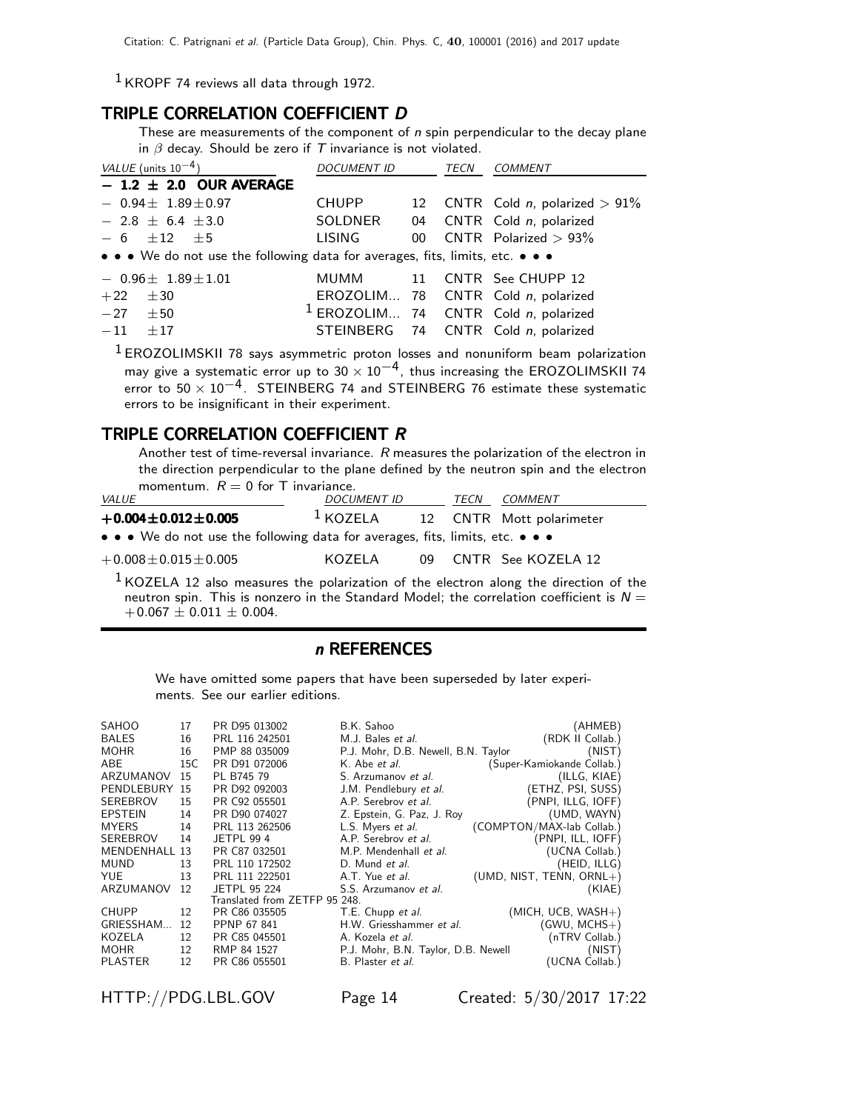$1$  KROPF 74 reviews all data through 1972.

### TRIPLE CORRELATION COEFFICIENT D

These are measurements of the component of  $n$  spin perpendicular to the decay plane in  $\beta$  decay. Should be zero if T invariance is not violated.

| VALUE (units $10^{-4}$ )                                                      | <b>DOCUMENT ID</b> |                 | TECN | <b>COMMENT</b>                         |
|-------------------------------------------------------------------------------|--------------------|-----------------|------|----------------------------------------|
| $-1.2 \pm 2.0$ OUR AVERAGE                                                    |                    |                 |      |                                        |
| $-0.94\pm 1.89\pm 0.97$                                                       | CHUPP              |                 |      | 12 CNTR Cold $n$ , polarized $> 91\%$  |
| $-2.8 \pm 6.4 \pm 3.0$                                                        | SOLDNER            |                 |      | 04 CNTR Cold n, polarized              |
| $-6$ +12 +5                                                                   | <b>LISING</b>      | 00 <sup>°</sup> |      | CNTR Polarized $> 93\%$                |
| • • • We do not use the following data for averages, fits, limits, etc. • • • |                    |                 |      |                                        |
| $-0.96\pm 1.89\pm 1.01$                                                       |                    |                 |      | MUMM 11 CNTR See CHUPP 12              |
| ±30<br>$+22$                                                                  |                    |                 |      | EROZOLIM 78 CNTR Cold n, polarized     |
| $-27 \pm 50$                                                                  |                    |                 |      | $1$ EROZOLIM 74 CNTR Cold n, polarized |
| $-11$<br>$+17$                                                                |                    |                 |      | STEINBERG 74 CNTR Cold n, polarized    |

<sup>1</sup> EROZOLIMSKII 78 says asymmetric proton losses and nonuniform beam polarization may give a systematic error up to  $30 \times 10^{-4}$ , thus increasing the EROZOLIMSKII 74 error to  $50 \times 10^{-4}$ . STEINBERG 74 and STEINBERG 76 estimate these systematic errors to be insignificant in their experiment.

### TRIPLE CORRELATION COEFFICIENT R

Another test of time-reversal invariance. R measures the polarization of the electron in the direction perpendicular to the plane defined by the neutron spin and the electron momentum.  $R = 0$  for T invariance.

| <i>VALUE</i>                                                                  | <b>DOCUMENT ID</b> | TECN | COMMENT                  |
|-------------------------------------------------------------------------------|--------------------|------|--------------------------|
| $+0.004 \pm 0.012 \pm 0.005$                                                  | $1$ KOZELA         |      | 12 CNTR Mott polarimeter |
| • • • We do not use the following data for averages, fits, limits, etc. • • • |                    |      |                          |
| $+0.008 \pm 0.015 \pm 0.005$                                                  | KOZFI A            |      | 09 CNTR See KOZELA 12    |

 $1$  KOZELA 12 also measures the polarization of the electron along the direction of the neutron spin. This is nonzero in the Standard Model; the correlation coefficient is  $N =$  $+0.067 \pm 0.011 \pm 0.004$ .

### n REFERENCES

We have omitted some papers that have been superseded by later experiments. See our earlier editions.

| SAHOO          | 17  | PR D95 013002                 | B.K. Sahoo                          | (AHMEB)                     |
|----------------|-----|-------------------------------|-------------------------------------|-----------------------------|
| <b>BALES</b>   | 16  | PRL 116 242501                | M.J. Bales et al.                   | (RDK II Collab.)            |
| <b>MOHR</b>    | 16  | PMP 88 035009                 | P.J. Mohr, D.B. Newell, B.N. Taylor | (NIST)                      |
| ABE.           | 15C | PR D91 072006                 | K. Abe <i>et al.</i>                | (Super-Kamiokande Collab.)  |
| ARZUMANOV      | 15  | PL B745 79                    | S. Arzumanov et al.                 | (ILLG, KIAE)                |
| PENDLEBURY 15  |     | PR D92 092003                 | J.M. Pendlebury et al.              | (ETHZ, PSI, SUSS)           |
| SEREBROV       | 15  | PR C92 055501                 | A.P. Serebrov et al.                | (PNPI, ILLG, IOFF)          |
| <b>EPSTEIN</b> | 14  | PR D90 074027                 | Z. Epstein, G. Paz, J. Roy          | (UMD, WAYN)                 |
| <b>MYERS</b>   | 14  | PRL 113 262506                | L.S. Myers <i>et al.</i>            | (COMPTON/MAX-lab Collab.)   |
| SEREBROV       | 14  | <b>JETPL 99 4</b>             | A.P. Serebrov et al.                | (PNPI, ILL, IOFF)           |
| MENDENHALL 13  |     | PR C87 032501                 | M.P. Mendenhall et al.              | (UCNA Collab.)              |
| <b>MUND</b>    | 13  | PRL 110 172502                | D. Mund et al.                      | (HEID, ILLG)                |
| <b>YUE</b>     | 13  | PRL 111 222501                | A.T. Yue et al.                     | (UMD, NIST, TENN, $ORNL+$ ) |
| ARZUMANOV      | 12  | JETPL 95 224                  | S.S. Arzumanov et al.               | (KIAE)                      |
|                |     | Translated from ZETFP 95 248. |                                     |                             |
| <b>CHUPP</b>   | 12  | PR C86 035505                 | T.E. Chupp et al.                   | $(MICH, UCB, WASH+)$        |
| GRIESSHAM      | 12  | PPNP 67 841                   | H.W. Griesshammer et al.            | $(GWU, MCHS+)$              |
| KOZELA         | 12  | PR C85 045501                 | A. Kozela et al.                    | (nTRV Collab.)              |
| <b>MOHR</b>    | 12  | RMP 84 1527                   | P.J. Mohr, B.N. Taylor, D.B. Newell | (NIST)                      |
| <b>PLASTER</b> | 12  | PR C86 055501                 | B. Plaster et al.                   | (UCNA Collab.)              |
|                |     |                               |                                     |                             |

HTTP://PDG.LBL.GOV Page 14 Created: 5/30/2017 17:22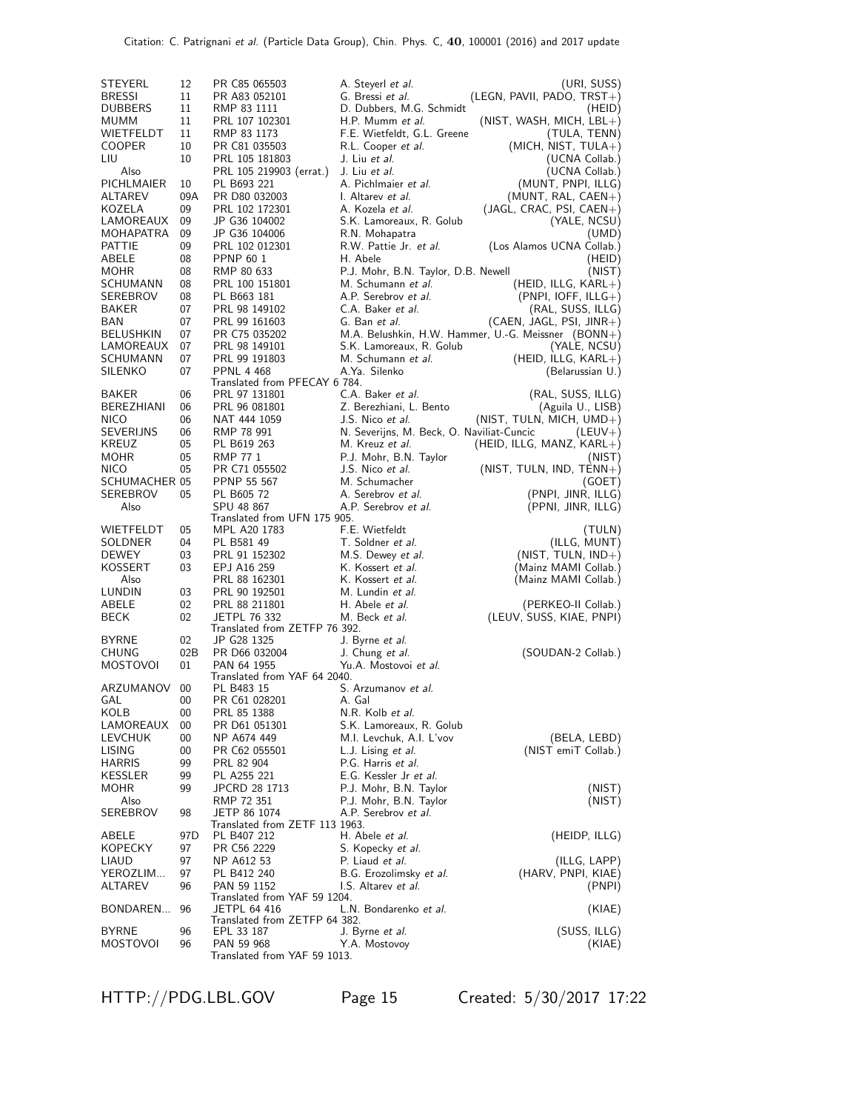| STEYERL                  | 12       | PR C85 065503                                      | A. Steyerl et al.                               | (URI, SUSS)                                         |
|--------------------------|----------|----------------------------------------------------|-------------------------------------------------|-----------------------------------------------------|
| <b>BRESSI</b>            | 11       | PR A83 052101                                      | G. Bressi et al.                                | $(LEGN, PAVII, PADO, TRST+)$                        |
| <b>DUBBERS</b>           | 11       | RMP 83 1111                                        | D. Dubbers, M.G. Schmidt                        | (HEID)                                              |
| MUMM                     | 11       | PRL 107 102301                                     | H.P. Mumm et al.                                | $(NIST, WASH, MICH, LBL+)$                          |
| WIETFELDT                | 11       | RMP 83 1173                                        | F.E. Wietfeldt, G.L. Greene                     | (TULA, TENN)                                        |
| COOPER<br>LIU            | 10<br>10 | PR C81 035503<br>PRL 105 181803                    | R.L. Cooper et al.<br>J. Liu et al.             | $(MICH, NIST, TULA+)$<br>(UCNA Collab.)             |
| Also                     |          | PRL 105 219903 (errat.)                            | J. Liu et al.                                   | (UCNA Collab.)                                      |
| PICHLMAIER               | 10       | PL B693 221                                        | A. Pichlmaier et al.                            | (MUNT, PNPI, ILLG)                                  |
| ALTAREV                  | 09A      | PR D80 032003                                      | I. Altarev et al.                               | (MUNT, RAL, $CAEN+$ )                               |
| KOZELA                   | 09       | PRL 102 172301                                     | A. Kozela <i>et al.</i>                         | $(JAGL, CRAC, PSI, CAEN+)$                          |
| LAMOREAUX                | 09       | JP G36 104002                                      | S.K. Lamoreaux, R. Golub                        | (YALE, NCSU)                                        |
| MOHAPATRA                | 09       | JP G36 104006                                      | R.N. Mohapatra                                  | (UMD)                                               |
| PATTIE<br>ABELE          | 09<br>08 | PRL 102 012301                                     | R.W. Pattie Jr. <i>et al.</i><br>H. Abele       | (Los Alamos UCNA Collab.)                           |
| MOHR                     | 08       | PPNP 60 1<br>RMP 80 633                            | P.J. Mohr, B.N. Taylor, D.B. Newell             | (HEID)<br>(NIST)                                    |
| SCHUMANN                 | 08       | PRL 100 151801                                     | M. Schumann et al.                              | $(HEID, ILLG, KARL+)$                               |
| SEREBROV                 | 08       | PL B663 181                                        | A.P. Serebrov et al.                            | $(PNPI, IOFF, ILLG+)$                               |
| BAKER                    | 07       | PRL 98 149102                                      | C.A. Baker et al.                               | (RAL, SUSS, ILLG)                                   |
| BAN                      | 07       | PRL 99 161603                                      | G. Ban et al.                                   | (CAEN, JAGL, PSI, JINR+)                            |
| BELUSHKIN                | 07       | PR C75 035202                                      |                                                 | M.A. Belushkin, H.W. Hammer, U.-G. Meissner (BONN+) |
| LAMOREAUX                | 07       | PRL 98 149101                                      | S.K. Lamoreaux, R. Golub                        | (YALE, NCSU)                                        |
| SCHUMANN                 | 07       | PRL 99 191803                                      | M. Schumann et al.                              | (HEID, ILLG, $KARL+$ )                              |
| SILENKO                  | 07       | <b>PPNL 4 468</b><br>Translated from PFECAY 6 784. | A.Ya. Silenko                                   | (Belarussian U.)                                    |
| BAKER                    | 06       | PRL 97 131801                                      | C.A. Baker et al.                               | (RAL, SUSS, ILLG)                                   |
| BEREZHIANI               | 06       | PRL 96 081801                                      | Z. Berezhiani, L. Bento                         | (Aguila U., LISB)                                   |
| <b>NICO</b>              | 06       | NAT 444 1059                                       | J.S. Nico et al.                                | (NIST, TULN, MICH, UMD+)                            |
| SEVERIJNS                | 06       | RMP 78 991                                         | N. Severijns, M. Beck, O. Naviliat-Cuncic       | $(LEUV+)$                                           |
| KREUZ                    | 05       | PL B619 263                                        | M. Kreuz et al.                                 | $(HEID, ILLG, MANZ, KARL+)$                         |
| MOHR                     | 05       | RMP 77 1                                           | P.J. Mohr, B.N. Taylor                          | (NIST)                                              |
| NICO<br>SCHUMACHER 05    | 05       | PR C71 055502<br>PPNP 55 567                       | J.S. Nico et al.<br>M. Schumacher               | $(NIST, TULN, IND, TENN+)$<br>(GOET)                |
| SEREBROV                 | 05       | PL B605 72                                         | A. Serebrov et al.                              | (PNPI, JINR, ILLG)                                  |
| Also                     |          | SPU 48 867                                         | A.P. Serebrov et al.                            | (PPNI, JINR, ILLG)                                  |
|                          |          | Translated from UFN 175 905.                       |                                                 |                                                     |
| WIETFELDT                | 05       | MPL A20 1783                                       | F.E. Wietfeldt                                  | (TULN)                                              |
| SOLDNER                  | 04       | PL B581 49                                         | T. Soldner et al.                               | (ILLG, MUNT)                                        |
| <b>DEWEY</b><br>KOSSERT  | 03<br>03 | PRL 91 152302<br>EPJ A16 259                       | M.S. Dewey et al.<br>K. Kossert <i>et al.</i>   | $(NIST, TULN, IND+)$                                |
| Also                     |          | PRL 88 162301                                      | K. Kossert <i>et al.</i>                        | (Mainz MAMI Collab.)<br>(Mainz MAMI Collab.)        |
| LUNDIN                   | 03       | PRL 90 192501                                      | M. Lundin et al.                                |                                                     |
| ABELE                    | 02       | PRL 88 211801                                      | H. Abele <i>et al.</i>                          | (PERKEO-II Collab.)                                 |
| <b>BECK</b>              | 02       | <b>JETPL 76 332</b>                                | M. Beck <i>et al.</i>                           | (LEUV, SUSS, KIAE, PNPI)                            |
|                          |          | Translated from ZETFP 76 392.                      |                                                 |                                                     |
| BYRNE                    | 02       | JP G28 1325                                        | J. Byrne et al.                                 |                                                     |
| CHUNG                    | 02B      | PR D66 032004                                      | J. Chung et al.                                 | (SOUDAN-2 Collab.)                                  |
| <b>MOSTOVOI</b>          | 01       | PAN 64 1955<br>Translated from YAF 64 2040.        | Yu.A. Mostovoi et al.                           |                                                     |
| ARZUMANOV                | 00       | PL B483 15                                         | S. Arzumanov <i>et al.</i>                      |                                                     |
| GAL                      | 00       | PR C61 028201                                      | A. Gal                                          |                                                     |
| KOLB                     | 00       | PRL 85 1388                                        | N.R. Kolb <i>et al.</i>                         |                                                     |
| LAMOREAUX                | 00       | PR D61 051301                                      | S.K. Lamoreaux, R. Golub                        |                                                     |
| LEVCHUK                  | 00       | NP A674 449                                        | M.I. Levchuk, A.I. L'vov                        | (BELA, LEBD)                                        |
| LISING<br><b>HARRIS</b>  | 00<br>99 | PR C62 055501<br>PRL 82 904                        | L.J. Lising <i>et al.</i><br>P.G. Harris et al. | (NIST emiT Collab.)                                 |
| KESSLER                  | 99       | PL A255 221                                        | E.G. Kessler Jr et al.                          |                                                     |
| MOHR                     | 99       | JPCRD 28 1713                                      | P.J. Mohr, B.N. Taylor                          | (NIST)                                              |
| Also                     |          | RMP 72 351                                         | P.J. Mohr, B.N. Taylor                          | (NIST)                                              |
| SEREBROV                 | 98       | JETP 86 1074                                       | A.P. Serebrov et al.                            |                                                     |
|                          |          | Translated from ZETF 113 1963.                     |                                                 |                                                     |
| ABELE                    | 97D      | PL B407 212                                        | H. Abele et al.                                 | (HEIDP, ILLG)                                       |
| <b>KOPECKY</b><br>LIAUD  | 97<br>97 | PR C56 2229<br>NP A612 53                          | S. Kopecky <i>et al.</i><br>P. Liaud et al.     | (ILLG, LAPP)                                        |
| YEROZLIM                 | 97       | PL B412 240                                        | B.G. Erozolimsky et al.                         | (HARV, PNPI, KIAE)                                  |
| ALTAREV                  | 96       | PAN 59 1152                                        | I.S. Altarev et al.                             | (PNPI)                                              |
|                          |          | Translated from YAF 59 1204.                       |                                                 |                                                     |
| BONDAREN                 | 96       | <b>JETPL 64 416</b>                                | L.N. Bondarenko <i>et al.</i>                   | (KIAE)                                              |
|                          |          | Translated from ZETFP 64 382.                      |                                                 |                                                     |
| <b>BYRNE</b><br>MOSTOVOI | 96<br>96 | EPL 33 187<br>PAN 59 968                           | J. Byrne <i>et al.</i><br>Y.A. Mostovoy         | (SUSS, ILLG)<br>(KIAE)                              |
|                          |          | Translated from YAF 59 1013.                       |                                                 |                                                     |

HTTP://PDG.LBL.GOV Page 15 Created: 5/30/2017 17:22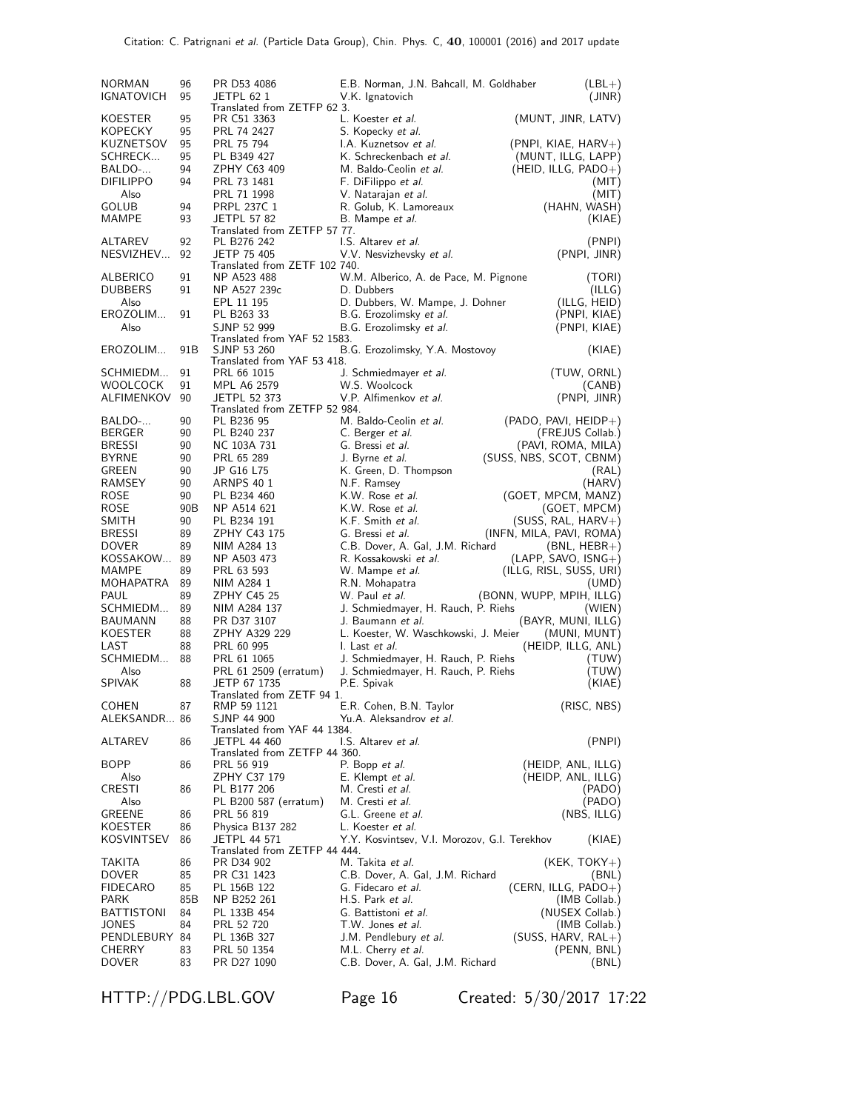| <b>NORMAN</b>             | 96       | PR D53 4086                               | E.B. Norman, J.N. Bahcall, M. Goldhaber      | $(LBL+)$                 |
|---------------------------|----------|-------------------------------------------|----------------------------------------------|--------------------------|
| <b>IGNATOVICH</b>         | 95       | JETPL 62 1<br>Translated from ZETFP 62 3. | V.K. Ignatovich                              | (JINR)                   |
| <b>KOESTER</b><br>KOPECKY | 95<br>95 | PR C51 3363<br>PRL 74 2427                | L. Koester et al.<br>S. Kopecky et al.       | (MUNT, JINR, LATV)       |
| KUZNETSOV                 | 95       | PRL 75 794                                | I.A. Kuznetsov et al.                        | $(PNPI, KIAE, HARV+)$    |
| SCHRECK                   | 95       | PL B349 427                               | K. Schreckenbach et al.                      | (MUNT, ILLG, LAPP)       |
| BALDO-                    | 94       | ZPHY C63 409                              | M. Baldo-Ceolin et al.                       |                          |
|                           |          |                                           |                                              | $(HEID, ILLG, PADO+)$    |
| <b>DIFILIPPO</b>          | 94       | PRL 73 1481                               | F. DiFilippo et al.                          | (MIT)                    |
| Also                      |          | PRL 71 1998                               | V. Natarajan <i>et al.</i>                   | (MIT)                    |
| GOLUB                     | 94       | <b>PRPL 237C 1</b>                        | R. Golub, K. Lamoreaux                       | (HAHN, WASH)             |
| MAMPE                     | 93       | <b>JETPL 57 82</b>                        | B. Mampe <i>et al.</i>                       | (KIAE)                   |
|                           |          | Translated from ZETFP 57 77.              |                                              |                          |
| <b>ALTAREV</b>            | 92       | PL B276 242                               | I.S. Altarev et al.                          | (PNPI)                   |
| NESVIZHEV                 | 92       | JETP 75 405                               | V.V. Nesvizhevsky et al.                     | (PNPI, JINR)             |
|                           |          | Translated from ZETF 102 740.             |                                              |                          |
| ALBERICO                  | 91       | NP A523 488                               | W.M. Alberico, A. de Pace, M. Pignone        | (TORI)                   |
| <b>DUBBERS</b>            | 91       | NP A527 239c                              | D. Dubbers                                   | (ILLG)                   |
| Also                      |          | EPL 11 195                                | D. Dubbers, W. Mampe, J. Dohner              | (ILLG, HEID)             |
| EROZOLIM                  | 91       | PL B263 33                                | B.G. Erozolimsky et al.                      | (PNPI, KIAE)             |
| Also                      |          | SJNP 52 999                               | B.G. Erozolimsky et al.                      | (PNPI, KIAE)             |
|                           |          | Translated from YAF 52 1583.              |                                              |                          |
| EROZOLIM                  | 91B      | SJNP 53 260                               | B.G. Erozolimsky, Y.A. Mostovoy              | (KIAE)                   |
|                           |          | Translated from YAF 53 418.               |                                              |                          |
| SCHMIEDM                  | 91       | PRL 66 1015                               | J. Schmiedmayer et al.                       | (TUW, ORNL)              |
| <b>WOOLCOCK</b>           | 91       | MPL A6 2579                               | W.S. Woolcock                                | (CANB)                   |
| <b>ALFIMENKOV</b>         | 90       | <b>JETPL 52 373</b>                       | V.P. Alfimenkov et al.                       | (PNPI, JINR)             |
|                           |          | Translated from ZETFP 52 984.             |                                              |                          |
| BALDO-                    | 90       | PL B236 95                                | M. Baldo-Ceolin et al.                       | $(PADO, PAVI, HEIDP+)$   |
| <b>BERGER</b>             | 90       | PL B240 237                               | C. Berger <i>et al.</i>                      | (FREJUS Collab.)         |
| <b>BRESSI</b>             | 90       | NC 103A 731                               | G. Bressi et al.                             | (PAVI, ROMA, MILA)       |
| <b>BYRNE</b>              | 90       | PRL 65 289                                | J. Byrne <i>et al.</i>                       | (SUSS, NBS, SCOT, CBNM)  |
| GREEN                     | 90       | JP G16 L75                                | K. Green, D. Thompson                        | (RAL)                    |
| RAMSEY                    | 90       | <b>ARNPS 40 1</b>                         | N.F. Ramsey                                  | (HARV)                   |
| ROSE                      | 90       | PL B234 460                               | K.W. Rose et al.                             | (GOET, MPCM, MANZ)       |
| ROSE                      | 90B      | NP A514 621                               | K.W. Rose et al.                             | (GOET, MPCM)             |
| <b>SMITH</b>              | 90       | PL B234 191                               | K.F. Smith et al.                            | $(SUSS, RAL, HARV+)$     |
|                           |          |                                           |                                              |                          |
| <b>BRESSI</b>             | 89       | ZPHY C43 175                              | G. Bressi et al.                             | (INFN, MILA, PAVI, ROMA) |
| <b>DOVER</b>              | 89       | NIM A284 13                               | C.B. Dover, A. Gal, J.M. Richard             | $(BNL, HEBR+)$           |
| KOSSAKOW                  | 89       | NP A503 473                               | R. Kossakowski et al.                        | $(LAPP, SAVO, ISNG+)$    |
| MAMPE                     | 89       | PRL 63 593                                | W. Mampe <i>et al.</i>                       | (ILLG, RISL, SUSS, URI)  |
| MOHAPATRA                 | 89       | NIM A284 1                                | R.N. Mohapatra                               | (UMD)                    |
| PAUL                      | 89       | ZPHY C45 25                               | W. Paul et al.                               | (BONN, WUPP, MPIH, ILLG) |
| SCHMIEDM                  | 89       | NIM A284 137                              | J. Schmiedmayer, H. Rauch, P. Riehs          | (WIEN)                   |
| <b>BAUMANN</b>            | 88       | PR D37 3107                               | J. Baumann et al.                            | (BAYR, MUNI, ILLG)       |
| <b>KOESTER</b>            | 88       | ZPHY A329 229                             | L. Koester, W. Waschkowski, J. Meier         | (MUNI, MUNT)             |
| LAST                      | 88       | PRL 60 995                                | I. Last et al.                               | (HEIDP, ILLG, ANL)       |
| SCHMIEDM                  | 88       | PRL 61 1065                               | J. Schmiedmayer, H. Rauch, P. Riehs          | (TUW)                    |
| Also                      |          | PRL 61 2509 (erratum)                     | J. Schmiedmayer, H. Rauch, P. Riehs          | (TUW)                    |
| <b>SPIVAK</b>             | 88       | JETP 67 1735                              | P.E. Spivak                                  | (KIAE)                   |
|                           |          | Translated from ZETF 94 1.                |                                              |                          |
| <b>COHEN</b>              | 87       | RMP 59 1121                               | E.R. Cohen, B.N. Taylor                      | (RISC, NBS)              |
| ALEKSANDR 86              |          | SJNP 44 900                               | Yu.A. Aleksandrov et al.                     |                          |
|                           |          | Translated from YAF 44 1384.              |                                              |                          |
| ALTAREV                   | 86       | <b>JETPL 44 460</b>                       | I.S. Altarev et al.                          | (PNPI)                   |
|                           |          | Translated from ZETFP 44 360.             |                                              |                          |
| BOPP                      | 86       | PRL 56 919                                | P. Bopp et al.                               | (HEIDP, ANL, ILLG)       |
| Also                      |          | ZPHY C37 179                              | E. Klempt et al.                             | (HEIDP, ANL, ILLG)       |
| CRESTI                    | 86       | PL B177 206                               | M. Cresti et al.                             | (PADO)                   |
| Also                      |          | PL B200 587 (erratum)                     | M. Cresti et al.                             | (PADO)                   |
| GREENE                    | 86       | PRL 56 819                                | G.L. Greene et al.                           | (NBS, ILLG)              |
|                           |          | Physica B137 282                          |                                              |                          |
| KOESTER                   | 86       |                                           | L. Koester <i>et al.</i>                     |                          |
| KOSVINTSEV                | 86       | JETPL 44 571                              | Y.Y. Kosvintsev, V.I. Morozov, G.I. Terekhov | (KIAE)                   |
|                           |          | Translated from ZETFP 44 444.             |                                              |                          |
| TAKITA                    | 86       | PR D34 902                                | M. Takita <i>et al.</i>                      | $(KEK, TOKY+)$           |
| DOVER                     | 85       | PR C31 1423                               | C.B. Dover, A. Gal, J.M. Richard             | (BNL)                    |
| <b>FIDECARO</b>           | 85       | PL 156B 122                               | G. Fidecaro et al.                           | $(CERN, ILLG, PADO+)$    |
| PARK                      | 85B      | NP B252 261                               | H.S. Park et al.                             | (IMB Collab.)            |
| <b>BATTISTONI</b>         | 84       | PL 133B 454                               | G. Battistoni et al.                         | (NUSEX Collab.)          |
| JONES                     | 84       | PRL 52 720                                | T.W. Jones et al.                            | (IMB Collab.)            |
| PENDLEBURY 84             |          | PL 136B 327                               | J.M. Pendlebury et al.                       | $(SUSS, HARV, RAL+)$     |
| CHERRY                    | 83       | PRL 50 1354                               | M.L. Cherry et al.                           | (PENN, BNL)              |
| <b>DOVER</b>              | 83       | PR D27 1090                               | C.B. Dover, A. Gal, J.M. Richard             | (BNL)                    |

HTTP://PDG.LBL.GOV Page 16 Created: 5/30/2017 17:22